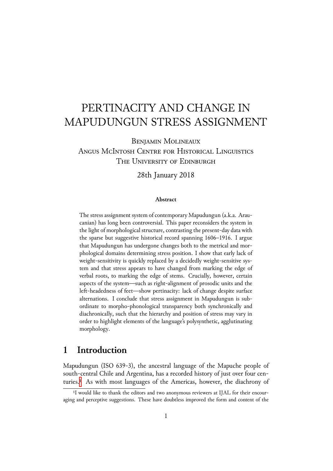# PERTINACITY AND CHANGE IN MAPUDUNGUN STRESS ASSIGNMENT

BENJAMIN MOLINEAUX ANGUS MCINTOSH CENTRE FOR HISTORICAL LINGUISTICS THE UNIVERSITY OF EDINBURGH

28th January 2018

#### **Abstract**

The stress assignment system of contemporary Mapudungun (a.k.a. Araucanian) has long been controversial. This paper reconsiders the system in the light of morphological structure, contrasting the present-day data with the sparse but suggestive historical record spanning 1606–1916. I argue that Mapudungun has undergone changes both to the metrical and morphological domains determining stress position. I show that early lack of weight-sensitivity is quickly replaced by a decidedly weight-sensitive system and that stress appears to have changed from marking the edge of verbal roots, to marking the edge of stems. Crucially, however, certain aspects of the system—such as right-alignment of prosodic units and the left-headedness of feet—show pertinacity: lack of change despite surface alternations. I conclude that stress assignment in Mapudungun is subordinate to morpho-phonological transparency both synchronically and diachronically, such that the hierarchy and position of stress may vary in order to highlight elements of the language's polysynthetic, agglutinating morphology.

# **1 Introduction**

Mapudungun (ISO 639-3), the ancestral language of the Mapuche people of south-central Chile and Argentina, has a recorded history of just over four centuries.<sup>1</sup> As with most languages of the Americas, however, the diachrony of

<sup>&</sup>lt;sup>1</sup>I would like to thank the editors and two anonymous reviewers at IJAL for their encouraging and perceptive suggestions. These have doubtless improved the form and content of the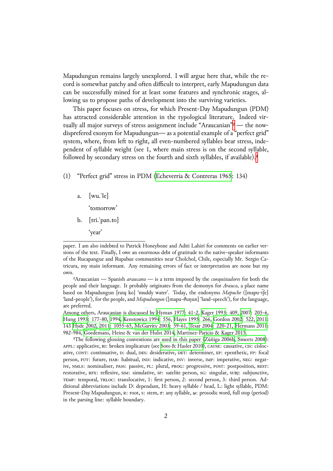Mapudungun remains largely unexplored. I will argue here that, while the record is somewhat patchy and often difficult to interpret, early Mapudungun data can be successfully mined for at least some features and synchronic stages, allowing us to propose paths of development into the surviving varieties.

This paper focuses on stress, for which Present-Day Mapudungun (PDM) has attracted considerable attention in the typological literature. Indeed virtually all major surveys of stress assignment include "Araucanian"<sup>2</sup> - the nowdisprefered exonym for Mapudungun— as a potential example of a "perfect grid" system, where, from left to right, all even-numbered syllables bear stress, independent of syllable weight (see 1, where main stress is on the s[ec](#page-1-0)ond syllable, followed by secondary stress on the fourth and sixth syllables, if available).<sup>3</sup>

⑴ "Perfect grid" stress in PDM (Echeverrı́a & Contreras 1965: 134)

a.  $[wu![e]$ 

'tomorrow'

- b. [tri.ˈpan.to]
	- 'year'

²Araucanian — Spanish *araucano* — is a term imposed by the *conquistadores* for both the people and their language. It probably originates from the demonyn for *Arauco*, a place name based on Mapudungun [raɰ ko] 'muddy water'. Today, the endonyms *Mapuche* ([mapu-t͡ʃe] 'land-people'), for the people, and *Mapudungun* ([mapu-θuŋun] 'land-speech'), for the language, are preferred.

<span id="page-1-0"></span>Among others, Araucanian is discussed by Hyman 1977: 41-2, Kager 1993: 409, 2007: 205-6, Hung 1993: 177-80, 1994, Kenstowicz 1994: 556, Hayes 1995: 266, Gordon 2002: 522, 2011: 143 Hyde 2002, 2011: 1055-65, McGarrity 2003: 59-61, Tesar 2004: 220-21, Hermans 2011: 982-984, Goedemans, Heinz & van der Hulst 2014, Martı́nez-Paricio & Kager 2015.

³The following glossing conventions a[re used in thi](#page-48-0)s paper [\(Zúñiga 20](#page-49-0)06b, [Smeet](#page-49-1)s 2008): APPL: applicative, в1: [broke](#page-48-2)[n implicature \(see](#page-49-2) Soto [& Hasler 201](#page-48-3)0), CAUSE: causative, CIS: [cisloc](#page-48-5)ative, CONT: con[tinuat](#page-48-7)ive, D: dual, DES: desiderative, DET: [determiner](#page-50-0), EP: epenthetic, FP: focal person, FUT: future, HAB: habitual, IND: indicative, INV: inverse, IMP: imperative, NEG: negative, NMLS: nominaliser, PASS: passive, PL: plural, PROG: progressive, POST: post[position,](#page-50-1) REST: restorative, RFX: reflexive, SIM: simulative, SP[: satelite person,](#page-50-2) SG: singular, SUBJ: subjunctive, TEMP: temporal, TRLOC: translocative, 1: first person, 2: second person, 3: third person. Additional abbreviations include D: dependant, H: heavy syllable / head, L: light syllable, PDM: Present-Day Mapudungun,  $\kappa$ : root, s: stem,  $\sigma$ : any syllable,  $\omega$ : prosodic word, full stop (period) in the parsing line: syllable boundary.

paper. I am also indebted to Patrick Honeybone and Aditi Lahiri for comments on earlier versions of the text. Finally, I owe an enormous debt of gratitude to the native-speaker informants of the Rucapangue and Rupahue communities near Cholchol, Chile, especially Mr. Sergio Catricura, my main informant. Any remaining errors of fact or interpretation are none but my own.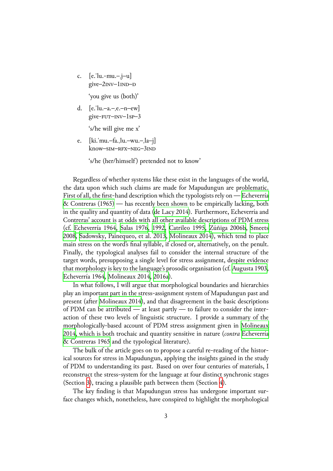c.  $[e$ .  $|u$ .-mu.- $j$ –u  $give$ – $2$ INV– $1$ IND– $D$ 

'you give us (both)'

d.  $[e$ .  $|u - a - e - n - ew|$ give-FUT-INV-1sp-3

's/he will give me x'

e. [ki.ˈmu.–fa.ˌlu.–wu.–ˌla–j] know–SIM–RFX–NEG–3IND

's/he (her/himself) pretended not to know'

Regardless of whether systems like these exist in the languages of the world, the data upon which such claims are made for Mapudungun are problematic. First of all, the first-hand description which the typologists rely on — Echeverrı́a & Contreras (1965) — has recently been shown to be empirically lacking, both in the quality and quantity of data (de Lacy 2014). Furthermore, Echeverría and Contreras' account is at odds with all other available descriptions of [PDM stress](#page-47-1) (cf. [Echeverrı́a 1964](#page-47-1), Salas 1976, 1992, Catrileo 1995, Zúñiga 2006b, Smeets 2008, Sadowsky, Painequeo, et al. 2013, Molineaux 2014), which tend to place main stress on the word's final sylla[ble, if closed o](#page-47-2)r, alternatively, on the penult. Fin[ally, the typolog](#page-47-3)i[cal analyses](#page-50-3) [fail to](#page-50-4) [consider the i](#page-47-4)[nternal structur](#page-51-0)e [of the](#page-50-1) [targe](#page-50-1)t [words, presupposing a single leve](#page-50-5)l [for stress assignm](#page-49-5)ent, despite evidence that morphology is key to the language's prosodic organisation (cf. Augusta 1903, Echeverrı́a 1964, Molineaux 2014, 2016a).

In what follows, I will argue that morphological boundaries and hierarchies play an important part in the stress-assignment system of Mapud[ungun past and](#page-46-0) present (after M[olineaux 2014\), an](#page-49-5)[d that](#page-49-6) disagreement in the basic descriptions of PDM can be attributed — at least partly — to failure to consider the interaction of these two levels of linguistic structure. I provide a summary of the morphologica[lly-based account](#page-49-5) of PDM stress assignment given in Molineaux 2014, which is both trochaic and quantity sensitive in nature (*contra* Echeverrı́a & Contreras 1965 and the typological literature).

The bulk of the article goes on to propose a careful re-reading of [the histor](#page-49-5)[ical s](#page-49-5)ources for stress in Mapudungun, applying the insights gained i[n the study](#page-47-1) [of PDM to unders](#page-47-1)tanding its past. Based on over four centuries of materials, I reconstruct the stress-system for the language at four distinct synchronic stages (Section 3), tracing a plausible path between them (Section 4).

The key finding is that Mapudungun stress has undergone important surface changes which, nonetheless, have conspired to highlight the morphological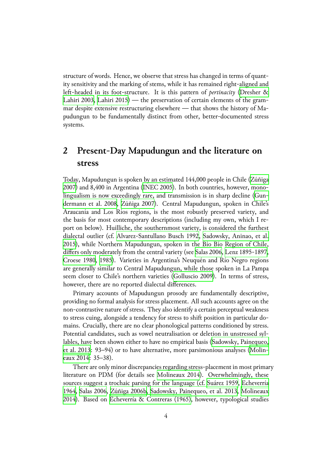structure of words. Hence, we observe that stress has changed in terms of quantity sensitivity and the marking of stems, while it has remained right-aligned and left-headed in its foot-structure. It is this pattern of *pertinacity* (Dresher & Lahiri 2003, Lahiri 2015) — the preservation of certain elements of the grammar despite extensive restructuring elsewhere — that shows the history of Mapudungun to be fundamentally distinct from other, better-docum[ented stress](#page-47-5) [systems.](#page-47-5)

# **2 Present-Day Mapudungun and the literature on stress**

<span id="page-3-0"></span>Today, Mapudungun is spoken by an estimated 144,000 people in Chile (Zúñiga 2007) and 8,400 in Argentina (INEC 2005). In both countries, however, monolingualism is now exceedingly rare, and transmission is in sharp decline (Gundermann et al. 2008, Zúñiga 2007). Central Mapudungun, spoken in [Chile's](#page-51-1) [Arau](#page-51-1)canía and Los Ríos regi[ons, is the m](#page-49-7)ost robustly preserved variety, and the basis for most contemporary descriptions (including my own, which [I re](#page-48-9)[port on below\). Huil](#page-48-9)l[iche, the sout](#page-51-1)hernmost variety, is considered the furthest dialectal outlier (cf. Alvarez-Santullano Busch 1992, Sadowsky, Aninao, et al. 2015), while Northern Mapudungun, spoken in the Bío Bío Region of Chile, differs only moderately from the central variety (see Salas 2006, Lenz 1895-1897, Croese 1980, 1985). [Varieties in Argentina's Neuqu](#page-46-1)é[n and Río Negro regions](#page-50-6) [are g](#page-50-6)enerally similar to Central Mapudungun, while those spoken in La Pampa seem closer to Chile's northern varieties (Gollusci[o 2009\). I](#page-50-7)[n terms of stress](#page-49-8), [however, the](#page-47-6)r[e are](#page-47-7) no reported dialectal differences.

Primary accounts of Mapudungun prosody are fundamentally descriptive, providing no formal analysis for stress plac[ement. All such](#page-47-8) accounts agree on the non-contrastive nature of stress. They also identify a certain perceptual weakness to stress cuing, alongside a tendency for stress to shift position in particular domains. Crucially, there are no clear phonological patterns conditioned by stress. Potential candidates, such as vowel neutralisation or deletion in unstressed syllables, have been shown either to have no empirical basis (Sadowsky, Painequeo, et al. 2013: 93–94) or to have alternative, more parsimonious analyses (Molineaux 2014: 35–38).

There are only minor discrepancies regarding stress-pl[acement in most primar](#page-50-5)y [literature o](#page-50-5)n PDM (for details see Molineaux 2014). Overwhelmingl[y, these](#page-49-5) [sources su](#page-49-5)ggest a trochaic parsing for the language (cf. Suárez 1959, Echeverrı́a 1964, Salas 2006, Zúñiga 2006b, Sadowsky, Painequeo, et al. 2013, Molineaux 2014). Based on Echeverrı́a & Co[ntreras \(1965\), ho](#page-49-5)wever, typological studies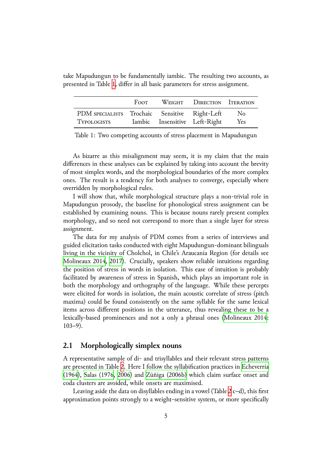|                                                                     | FOOT | WEIGHT DIRECTION ITERATION    |            |
|---------------------------------------------------------------------|------|-------------------------------|------------|
| PDM SPECIALISTS Trochaic Sensitive Right-Left<br><b>TYPOLOGISTS</b> |      | Iambic Insensitive Left-Right | No.<br>Yes |

take Mapudungun to be fundamentally iambic. The resulting two accounts, as presented in Table 1, differ in all basic parameters for stress assignment.

<span id="page-4-0"></span>Table 1: Two competing accounts of stress placement in Mapudungun

As bizarre as this misalignment may seem, it is my claim that the main differences in these analyses can be explained by taking into account the brevity of most simplex words, and the morphological boundaries of the more complex ones. The result is a tendency for both analyses to converge, especially where overridden by morphological rules.

I will show that, while morphological structure plays a non-trivial role in Mapudungun prosody, the baseline for phonological stress assignment can be established by examining nouns. This is because nouns rarely present complex morphology, and so need not correspond to more than a single layer for stress assignment.

The data for my analysis of PDM comes from a series of interviews and guided elicitation tasks conducted with eight Mapudungun-dominant bilinguals living in the vicinity of Cholchol, in Chile's Araucanía Region (for details see Molineaux 2014, 2017). Crucially, speakers show reliable intuitions regarding the position of stress in words in isolation. This ease of intuition is probably facilitated by awareness of stress in Spanish, which plays an important role in [both the morpho](#page-49-5)[logy](#page-49-9) and orthography of the language. While these percepts were elicited for words in isolation, the main acoustic correlate of stress (pitch maxima) could be found consistently on the same syllable for the same lexical items across different positions in the utterance, thus revealing these to be a lexically-based prominences and not a only a phrasal ones (Molineaux 2014: 103–9).

## **2.1 Morphologically simplex nouns**

<span id="page-4-1"></span>A representative sample of di- and trisyllables and their relevant stress patterns are presented in Table 2. Here I follow the syllabification practices in Echeverrı́a (1964), Salas (1976, 2006) and Zúñiga (2006b) which claim surface onset and coda clusters are avoided, while onsets are maximised.

Leaving aside the [da](#page-5-0)ta on disyllables ending in a vowel (Table 2 c–[d\), this first](#page-47-3) [approx](#page-47-3)i[mation poin](#page-50-3)t[s stron](#page-50-7)gly t[o a weight-sensi](#page-51-0)tive system, or more specifically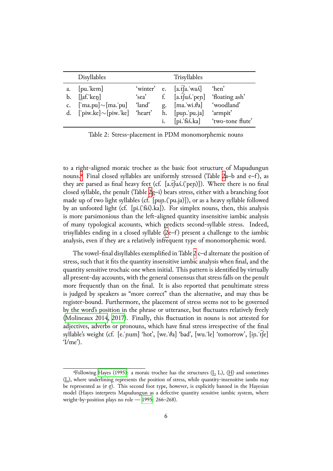|                            | Disyllables                                                      |                 |                   | Trisyllables                                                                                 |                                       |
|----------------------------|------------------------------------------------------------------|-----------------|-------------------|----------------------------------------------------------------------------------------------|---------------------------------------|
| a.<br>b.<br>$\mathsf{C}$ . | [pu!kem]<br>$[$ laf.' $\text{ken}$ ]<br>['ma.pu] $\sim$ [ma.'pu] | 'sea'<br>'land' | $f_{\cdot}$<br>g. | 'winter' e. $[a.fa.'waA]$<br>$[a.\hat{t}]$ us pen]<br>$\left[$ ma.'wi. $\theta$ a]           | 'hen'<br>'floating ash'<br>'woodland' |
|                            | d. ['piw.ke] $\sim$ [piw.'ke] 'heart'                            |                 | i.                | h. $[pup.jpg$<br>$\lceil \pi \cdot \hat{f} \cdot \hat{k} \cdot \hat{k} \cdot \hat{k} \rceil$ | 'armpit'<br>'two-tone flute'          |

<span id="page-5-0"></span>Table 2: Stress-placement in PDM monomorphemic nouns

to a right-aligned moraic trochee as the basic foot structure of Mapudungun nouns.<sup>4</sup> Final closed syllables are uniformly stressed (Table 2a–b and  $e$ –f), as they are parsed as final heavy feet (cf.  $[a.t[uA.(open)]]$ ). Where there is no final closed syllable, the penult (Table 2g–i) bears stress, either with a branching foot made [up](#page-5-1) of two light syllables (cf. [puɲ.(ˈpu.ja)]), or as a heav[y](#page-5-0) syllable followed by an unfooted light (cf. [pi.('fi.).ka]). For simplex nouns, then, this analysis is more parsimonious than the left-aligned quantity insensitive iambic analysis of many typological accounts, which predicts second-syllable stress. Indeed, trisyllables ending in a closed syllable  $(2e-f)$  present a challenge to the iambic analysis, even if they are a relatively infrequent type of monomorphemic word.

The vowel-final disyllables exemplified in Table 2 c–d alternate the position of stress, such that it fits the quantity inse[ns](#page-5-0)itive iambic analysis when final, and the quantity sensitive trochaic one when initial. This pattern is identified by virtually all present-day accounts, with the general consensu[s t](#page-5-0)hat stress falls on the penult more frequently than on the final. It is also reported that penultimate stress is judged by speakers as "more correct" than the alternative, and may thus be register-bound. Furthermore, the placement of stress seems not to be governed by the word's position in the phrase or utterance, but fluctuates relatively freely (Molineaux 2014, 2017). Finally, this fluctuation in nouns is not attested for adjectives, adverbs or pronouns, which have final stress irrespective of the final syllable's weight (cf. [e.ˈɲum] 'hot', [we.ˈθa] 'bad', [wu.ˈle] 'tomorrow', [iɲ.ˈt͡ʃe]  $\gamma$  /me').

<span id="page-5-1"></span><sup>&</sup>lt;sup>4</sup>Following Hayes (1995): a moraic trochee has the structures ( $\underline{L}$  L), ( $\underline{H}$ ) and sometimes (L), where underlining represents the position of stress, while quantity-insensitive iambs may be represented as  $(\sigma g)$ . This second foot type, however, is explicitly banned in the Hayesian model (Hayes interprets Mapudungun as a defective quantity sensitive iambic system, where weight-by-posit[ion plays no ro](#page-48-3)le — 1995: 266–268).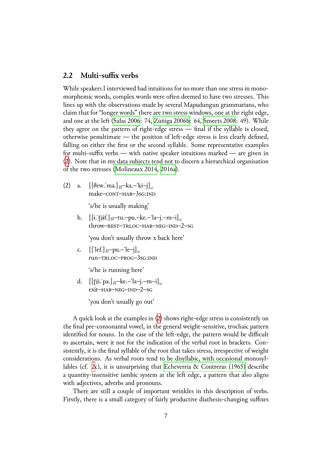## **2.2 Multi-suffix verbs**

<span id="page-6-0"></span>While speakers I interviewed had intuitions for no more than one stress in monomorphemic words, complex words were often deemed to have two stresses. This lines up with the observations made by several Mapudungun grammarians, who claim that for "longer words" there are two stress windows, one at the right edge, and one at the left (Salas 2006: 74, Zúñiga 2006b: 64, Smeets 2008: 49). While they agree on the pattern of right-edge stress — final if the syllable is closed, otherwise penultimate — the position of left-edge stress is less clearly defined, falling on either th[e first or th](#page-50-7)e se[cond syllable.](#page-51-0) Som[e representat](#page-50-1)ive examples for multi-suffix verbs — with native speaker intuitions marked — are given in (2). Note that in my data subjects tend not to discern a hierarchical organisation of the two stresses (Molineaux 2014, 2016a).

[⑵](#page-6-0) a. [[θew.ˈma.]*R*–ka.–ˈki–j]*<sup>ω</sup>* make-CONT-HAB-3sG:IND

's/he is usually making'

b. [[ɨ.ˈʈ͡ʂɨf.]*R*–tu.–pu.–ke.–ˈla–j.–m–i]*<sup>ω</sup>* throw-REST-TRLOC-HAB-NEG-IND-2-SG

'you don't usually throw x back here'

c. [[ˈlef.]*R*–pu.–ˈle–j]*<sup>ω</sup>* run-TRLOC-PROG-3sG:IND

's/he is running here'

d. [[ʈ͡ʂi.ˈpa.]*R*–ke.–ˈla–j.–m–i]*<sup>ω</sup>* exit-HAB-NEG-IND-2-sG

'you don't usually go out'

A quick look at the examples in (2) shows right-edge stress is consistently on the final pre-consonantal vowel, in the general weight-sensitive, trochaic pattern identified for nouns. In the case of the left-edge, the pattern would be difficult to ascertain, were it not for the indi[ca](#page-6-0)tion of the verbal root in brackets. Consistently, it is the final syllable of the root that takes stress, irrespective of weight considerations. As verbal roots tend to be disyllabic, with occasional monosyllables (cf. 2c), it is unsurprising that Echeverría & Contreras (1965) describe a quantity-insensitive iambic system at the left edge, a pattern that also aligns with adjectives, adverbs and pronouns.

There [ar](#page-6-0)e still a couple of import[ant wrinkles in this description](#page-47-1) of verbs. Firstly, there is a small category of fairly productive diathesis-changing suffixes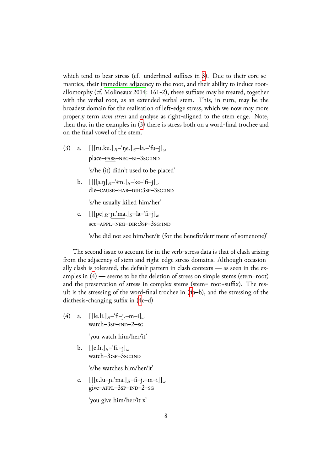which tend to bear stress (cf. underlined suffixes in 3). Due to their core semantics, their immediate adjacency to the root, and their ability to induce rootallomorphy (cf. Molineaux 2014: 161-2), these suffixes may be treated, together with the verbal root, as an extended verbal stem. [Th](#page-6-0)is, in turn, may be the broadest domain for the realisation of left-edge stress, which we now may more properly term *stem stress* and analyse as right-aligned to the stem edge. Note, then that in th[e examples in \(3\)](#page-49-5) there is stress both on a word-final trochee and on the final vowel of the stem.

⑶ a. [[[tu.ku.]*R*–ˈŋe.]*S*–[la](#page-6-0).–ˈfu–j]*<sup>ω</sup>* place–PASS–NEG–BI–3sG:IND

's/he (it) didn't used to be placed'

b.  $\left[\left[\left[\left[\ln n\right]_R-\lim\right]_S-\text{ke}-\left[\ln-\frac{1}{m}\right]\right]_{\omega}\right]$ die–cause–hab–dir:3sp–3sg:IND

's/he usually killed him/her'

c. [[[pe]*R*-ɲ.ˈma.]*S*–la–ˈfi–j]*<sup>ω</sup>* see-APPL-NEG-DIR:3sp-3sg:IND

's/he did not see him/her/it (for the benefit/detriment of somenone)'

The second issue to account for in the verb-stress data is that of clash arising from the adjacency of stem and right-edge stress domains. Although occasionally clash is tolerated, the default pattern in clash contexts — as seen in the examples in  $(4)$  — seems to be the deletion of stress on simple stems (stem=root) and the preservation of stress in complex stems (stem= root+suffix). The result is the stressing of the word-final trochee in (4a–b), and the stressing of the diathesis-c[ha](#page-6-0)nging suffix in (4c–d)

⑷ a. [[le.li.]*S*–ˈfi–j.–m–i]*<sup>ω</sup>* watch– $3sp$ – $IND-2$ – $SG$ 

'you watch him/her/it'

b. [[e.li.]*S*–ˈfi.–j]*<sup>ω</sup>*  $watch-3:SP-3sG:IND$ 

's/he watches him/her/it'

c. [[[e.lu–ɲ.ˈma.]*S*–fi–j.–m–i]]*<sup>ω</sup>* give-APPL-3sp-IND-2-sG

'you give him/her/it x'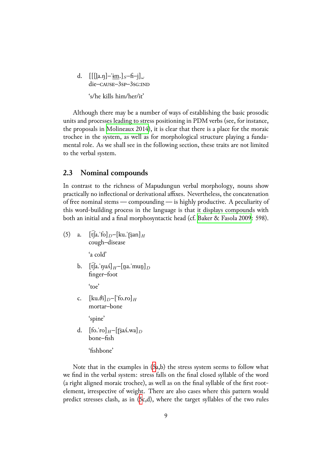d. [[[l̪a.ŋ]–ˈɨm.]*S*–fi–j]*<sup>ω</sup>* die–cause–3sp–3sq:IND 's/he kills him/her/it'

Although there may be a number of ways of establishing the basic prosodic units and processes leading to stress positioning in PDM verbs (see, for instance, the proposals in Molineaux 2014), it is clear that there is a place for the moraic trochee in the system, as well as for morphological structure playing a fundamental role. As we shall see in the following section, these traits are not limited to the verbal sys[tem.](#page-49-5)

### **2.3 Nominal compounds**

<span id="page-8-0"></span>In contrast to the richness of Mapudungun verbal morphology, nouns show practically no inflectional or derivational affixes. Nevertheless, the concatenation of free nominal stems — compounding — is highly productive. A peculiarity of this word-building process in the language is that it displays compounds with both an initial and a final morphosyntactic head (cf. Baker & Fasola 2009: 598).

(5) a.  $[t[a, f_0]_D-[ku, f_0]_H$ cough–disease

'a cold'

b.  $[\hat{t}]$ a.<sup>'</sup> $\eta u \Lambda$ ]<sub>H</sub>–[n̪a.'mun̪]<sub>D</sub> finger–foot

'toe'

c.  $[\text{ku.}\theta\text{i}]_D$ – $[\text{fo.ro}]_H$ mortar–bone

'spine'

d.  $[$ fo.'ro]<sub>H</sub>–[[ $\hat{s}$ a $\Lambda$ .wa]<sub>D</sub> bone–fish

'fishbone'

Note that in the examples in (5a,b) the stress system seems to follow what we find in the verbal system: stress falls on the final closed syllable of the word (a right aligned moraic trochee), as well as on the final syllable of the first rootelement, irrespective of weight. [Th](#page-8-0)ere are also cases where this pattern would predict stresses clash, as in (5c,d), where the target syllables of the two rules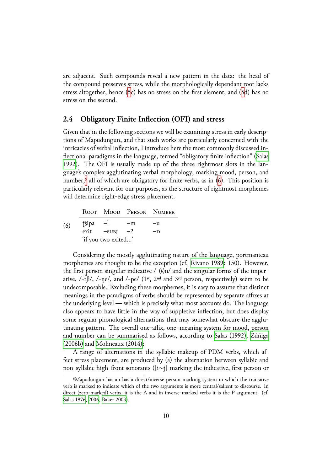are adjacent. Such compounds reveal a new pattern in the data: the head of the compound preserves stress, while the morphologically dependant root lacks stress altogether, hence (5c) has no stress on the first element, and (5d) has no stress on the second.

## **2.4 Obligatory Fi[nit](#page-8-0)e Inflection (OFI) and stress**

Given that in the following sections we will be examining stress in early descriptions of Mapudungun, and that such works are particularly concerned with the intricacies of verbal inflection, I introduce here the most commonly discussed inflectional paradigms in the language, termed "obligatory finite inflection" (Salas 1992). The OFI is usually made up of the three rightmost slots in the language's complex agglutinating verbal morphology, marking mood, person, and number,<sup>5</sup> all of which are obligatory for finite verbs, as in  $(6)$ . This positi[on is](#page-50-4) [partic](#page-50-4)ularly relevant for our purposes, as the structure of rightmost morphemes will determine right-edge stress placement.

 $(6)$ [R](#page-9-0)OOT MOOD PERSON NUMBER  $\int$ sipa –l –m –u  $ext \t -SUBJ \t -2 \t -D$ 'if you two exited…'

Considering the mostly agglutinating nature of the language, portmanteau morphemes are thought to be the exception (cf. Rivano 1989: 150). However, the first person singular indicative  $/-(i)n/$  and the singular forms of the imperative,  $/$ -t $\int$ i/,  $/$ -ne/, and  $/$ -pe/  $(1<sup>st</sup>, 2<sup>nd</sup>$  and  $3<sup>rd</sup>$  person, respectively) seem to be undecomposable. Excluding these morphemes, it [is easy to ass](#page-50-8)ume that distinct meanings in the paradigms of verbs should be represented by separate affixes at the underlying level — which is precisely what most accounts do. The language also appears to have little in the way of suppletive inflection, but does display some regular phonological alternations that may somewhat obscure the agglutinating pattern. The overall one-affix, one–meaning system for mood, person and number can be summarised as follows, according to Salas (1992), Zúñiga (2006b) and Molineaux (2014):

A range of alternations in the syllabic makeup of PDM verbs, which affect stress placement, are produced by (a) the alternation [between syll](#page-50-4)a[bic and](#page-51-0) [non-syll](#page-51-0)abic high-front sonorants ([i∼j] marking the indicative, first person or

<span id="page-9-0"></span><sup>&</sup>lt;sup>5</sup>Mapudungun has an has a direct/inverse person marking system in which the transitive verb is marked to indicate which of the two arguments is more central/salient to discourse. In direct (zero-marked) verbs, it is the A and in inverse-marked verbs it is the P argument. (cf. Salas 1976, 2006, Baker 2003).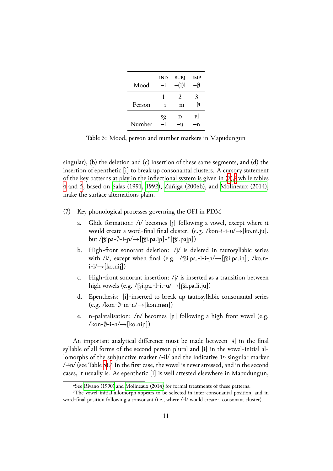| Mood   | IND | <b>SUBJ</b><br>$-(i)$       | <b>IMP</b> |
|--------|-----|-----------------------------|------------|
| Person | 1   | $\mathcal{P}_{\cdot}$<br>-m | 3          |
| Number | sg  | D<br>u                      | Рl         |

<span id="page-10-1"></span>Table 3: Mood, person and number markers in Mapudungun

singular), (b) the deletion and  $(c)$  insertion of these same segments, and  $(d)$  the insertion of epenthetic [ɨ] to break up consonantal clusters. A cursory statement of the key patterns at play in the inflectional system is given in  $(7)$ , while tables 4 and 5, based on Salas (1991, 1992), Zúñiga (2006b), and Molineaux (2014), make the surface alternations plain.

- [⑺](#page-11-0) [Ke](#page-11-1)y phonolo[gical process](#page-50-9)e[s gove](#page-50-4)r[ning the OFI in](#page-51-0) PD[M](#page-49-5)
	- a. Glide formation: /i/ becomes [j] following a vowel, except where it would create a word-final final cluster. (e.g. /kon-i-i-u/→[ko.ni.ju], but /ʈ͡ʂipa-*∅*-i-ɲ/→[ʈ͡ʂi.pa.iɲ]-\*[ʈ͡ʂi.pajɲ])
	- b. High-front sonorant deletion:  $\frac{1}{i}$  is deleted in tautosyllabic series with /i/, except when final (e.g. /ʈ͡ʂi.pa.-i-i-ɲ/→[ʈ͡ʂi.pa.iɲ]; /ko.n $i-i/\rightarrow$ [ko.nij])
	- c. High-front sonorant insertion:  $\frac{1}{i}$  is inserted as a transition between high vowels (e.g. / $\text{r}$ §i.pa.-l-i.-u/ $\rightarrow$ [ $\text{r}$ si.pa.li.ju])
	- d. Epenthesis: [ɨ]-inserted to break up tautosyllabic consonantal series (e.g. /kon-*∅*-m-n/→[kon.mɨn])
	- e. n-palatalisation:  $/n/$  becomes [n] following a high front vowel (e.g. /kon-*∅*-i-n/→[ko.niɲ])

An important analytical difference must be made between [ɨ] in the final syllable of all forms of the second person plural and [ɨ] in the vowel-initial allomorphs of the subjunctive marker  $\frac{-i}{i}$  and the indicative 1<sup>st</sup> singular marker /-ɨn/ (see Table 5).⁷ In the first case, the vowel is never stressed, and in the second cases, it usually is. As epenthetic [ɨ] is well attested elsewhere in Mapudungun,

⁶See Rivano (1990) and Molineaux (2014) for formal treatments of these patterns.

<span id="page-10-0"></span>⁷The vowel-i[nit](#page-11-1)i[al](#page-10-0) allomorph appears to be selected in inter-consonantal position, and in word-final position following a consonant (i.e., where /-l/ would create a consonant cluster).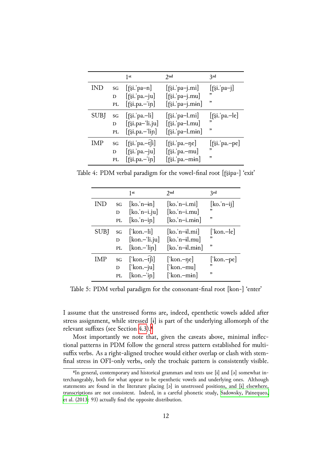|      |    | 1st                                         | 2nd                           | 3rd                         |
|------|----|---------------------------------------------|-------------------------------|-----------------------------|
| IND  | SG | $[\hat{\sigma}$ si. pa-n]                   | $[\hat{\sigma}$ si.'pa-j.mi]  | $[\hat{fsi}$ : pa-j]        |
|      | D  | $[\hat{\sigma}$ si. pa.-ju]                 | $[\hat{\sigma}$ si.'pa-j.mu]  | ,,                          |
|      | PL | $[\hat{\sigma}$ si.pa.-'in]                 | [fsi.'pa-j.min]               | ,                           |
| SUBJ | SG | $[\hat{\sigma}$ si. pa.—li]                 | $[\hat{\sigma}$ si.'pa-l.mi]  | $[\hat{\sigma}$ si. pa.—le] |
|      | D  | $[\hat{\sigma}$ si.pa-'li.ju]               | $[\hat{\sigma}$ si.'pa-l.mu]  | , ,                         |
|      | PL | $[\hat{\sigma}$ si.pa.-'lin]                | $[\hat{\sigma}$ si.'pa-l.min] | ,                           |
| IMP  | SG | $[\hat{\sigma}$ si. pa.—t $\hat{\sigma}$ i] | $[\hat{\sigma}$ si.'pa.-ne]   | $[\hat{\sigma}$ si. pa.-pe] |
|      | D  | $[\hat{\sigma}$ si. pa.-ju]                 | $[\hat{\sigma}$ si.'pa.-mu]   | ,,                          |
|      | PL | $[\hat{\sigma}$ si.pa.-'in]                 | $[\hat{\sigma}$ si.'pa.-min]  | ,                           |

Table 4: PDM verbal paradigm for the vowel-final root [ʈ͡ʂipa-] 'exit'

<span id="page-11-0"></span>

|             |    | 1st                                                   | 2nd                             | 3rd                               |
|-------------|----|-------------------------------------------------------|---------------------------------|-----------------------------------|
| <b>IND</b>  | SG | $[ko, n-in]$                                          | $[ko.'n-i.mi]$                  | $[\text{ko}, \text{n}-\text{ij}]$ |
|             | D  | $[ko, n-i.ju]$                                        | $[ko.'n-i.mu]$                  | ,                                 |
|             | PL | $[\text{ko}.^{\dagger} \text{n} - \text{i} \text{n}]$ | $[ko.'n-i.min]$                 | ,                                 |
| <b>SUBJ</b> | SG | $\lceil \text{kon}-\text{li} \rceil$                  | $[ko.'n-i].mi]$                 | ['kon.-le]                        |
|             | D  | $[kon-ii.ju]$                                         | $[ko.'n-i].mu]$                 | "                                 |
|             | PL | $[kon - lin]$                                         | $[ko.'n-il.min]$                | ,                                 |
| IMP         |    | sg $[\text{kon}-\hat{t}]$                             | $\lfloor$ kon. $-\eta e\rfloor$ | [ˈkon.–pe]                        |
|             | D  | $\lceil$ 'kon.-ju]                                    | [' $\text{kon-mu}$ ]            | ,                                 |
|             | PL | $[kon - in]$                                          | ['kon.-min]                     | "                                 |

Table 5: PDM verbal paradigm for the consonant-final root [kon-] 'enter'

<span id="page-11-1"></span>I assume that the unstressed forms are, indeed, epenthetic vowels added after stress assignment, while stressed [ɨ] is part of the underlying allomorph of the relevant suffixes (see Section 4.3).<sup>8</sup>

Most importantly we note that, given the caveats above, minimal inflectional patterns in PDM follow the general stress pattern established for multisuffix verbs. As a right-align[ed tr](#page-40-0)[oc](#page-11-2)hee would either overlap or clash with stemfinal stress in OFI-only verbs, only the trochaic pattern is consistently visible.

<span id="page-11-2"></span><sup>&</sup>lt;sup>8</sup>In general, contemporary and historical grammars and texts use [i] and [a] somewhat interchangeably, both for what appear to be epenthetic vowels and underlying ones. Although statements are found in the literature placing [ə] in unstressed positions, and [ɨ] elsewhere, transcriptions are not consistent. Indeed, in a careful phonetic study, Sadowsky, Painequeo, et al. (2013: 93) actually find the opposite distribution.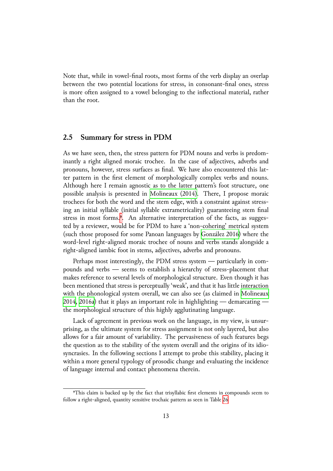Note that, while in vowel-final roots, most forms of the verb display an overlap between the two potential locations for stress, in consonant-final ones, stress is more often assigned to a vowel belonging to the inflectional material, rather than the root.

### **2.5 Summary for stress in PDM**

As we have seen, then, the stress pattern for PDM nouns and verbs is predominantly a right aligned moraic trochee. In the case of adjectives, adverbs and pronouns, however, stress surfaces as final. We have also encountered this latter pattern in the first element of morphologically complex verbs and nouns. Although here I remain agnostic as to the latter pattern's foot structure, one possible analysis is presented in Molineaux (2014). There, I propose moraic trochees for both the word and the stem edge, with a constraint against stressing an initial syllable (initial syllable extrametricality) guaranteeing stem final stress in most forms.<sup>9</sup>. An alte[rnative interpretati](#page-49-5)on of the facts, as suggested by a reviewer, would be for PDM to have a 'non-cohering' metrical system (such those proposed for some Panoan languages by González 2016) where the word-level right-alig[ne](#page-12-0)d moraic trochee of nouns and verbs stands alongside a right-aligned iambic foot in stems, adjectives, adverbs and pronouns.

Perhaps most interestingly, the PDM stress syste[m — particula](#page-48-10)rly in compounds and verbs — seems to establish a hierarchy of stress-placement that makes reference to several levels of morphological structure. Even though it has been mentioned that stress is perceptually 'weak', and that it has little interaction with the phonological system overall, we can also see (as claimed in Molineaux 2014, 2016a) that it plays an important role in highlighting — demarcating the morphological structure of this highly agglutinating language.

Lack of agreement in previous work on the language, in my vie[w, is unsur](#page-49-5)[prisin](#page-49-5)[g, as th](#page-49-6)e ultimate system for stress assignment is not only layered, but also allows for a fair amount of variability. The pervasiveness of such features begs the question as to the stability of the system overall and the origins of its idiosyncrasies. In the following sections I attempt to probe this stability, placing it within a more general typology of prosodic change and evaluating the incidence of language internal and contact phenomena therein.

<span id="page-12-0"></span>⁹This claim is backed up by the fact that trisyllabic first elements in compounds seem to follow a right-aligned, quantity sensitive trochaic pattern as seen in Table 26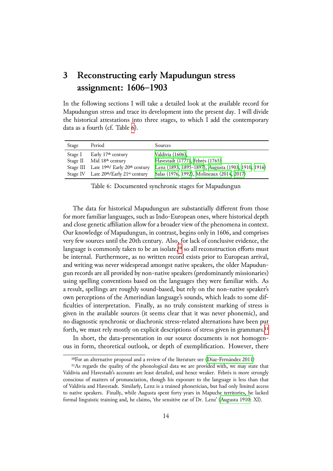# **3 Reconstructing early Mapudungun stress assignment: 1606–1903**

In the following sections I will take a detailed look at the available record for Mapudungun stress and trace its development into the present day. I will divide the historical attestations into three stages, to which I add the contemporary data as a fourth (cf. Table 6).

| Stage   | Period                                            | Sources                                            |
|---------|---------------------------------------------------|----------------------------------------------------|
| Stage I | Early 17th century                                | Valdivia (1606),                                   |
|         | Stage II Mid 18th century                         | Havestadt (1777), Febrés (1765)                    |
|         | Stage III Late 19th/ Early 20th century           | Lenz (1893, 1895-1897), Augusta (1903, 1910, 1916) |
|         | Stage IV Late 20th/Early 21 <sup>st</sup> century | Salas (1976, 1992), Molineaux (2014, 2017)         |

Table 6: Documented sy[nchronic stage](#page-48-11)[s for Mapud](#page-47-9)ungun

The data for historical Mapud[ungun are](#page-50-3) [subs](#page-50-4)t[antially differe](#page-49-5)nt from those for more familiar languages, such as Indo-European ones, where historical depth and close genetic affiliation allow for a broader view of the phenomena in context. Our knowledge of Mapudungun, in contrast, begins only in 1606, and comprises very few sources until the 20th century. Also, for lack of conclusive evidence, the language is commonly taken to be an isolate,<sup>10</sup> so all reconstruction efforts must be internal. Furthermore, as no written record exists prior to European arrival, and writing was never widespread amongst native speakers, the older Mapudungun records are all provided by non-native sp[eak](#page-13-0)ers (predominantly missionaries) using spelling conventions based on the languages they were familiar with. As a result, spellings are roughly sound-based, but rely on the non-native speaker's own perceptions of the Amerindian language's sounds, which leads to some difficulties of interpretation. Finally, as no truly consistent marking of stress is given in the available sources (it seems clear that it was never phonemic), and no diagnostic synchronic or diachronic stress-related alternations have been put forth, we must rely mostly on explicit descriptions of stress given in grammars.<sup>11</sup>

In short, the data-presentation in our source documents is not homogenous in form, theoretical outlook, or depth of exemplification. However, there

<sup>&</sup>lt;sup>10</sup>For an alternative proposal and a review of the literature see (Díaz-Fernández 2011)

<span id="page-13-0"></span><sup>&</sup>lt;sup>11</sup>As regards the quality of the phonological data we are provided with, we may state that Valdivia and Havestadt's accounts are least detailed, and hence weaker. Febrés is more strongly conscious of matters of pronunciation, though his exposure to the language is less than that of Valdivia and Havestadt. Similarly, Lenz is a trained phoneticia[n, but had only limited](#page-47-10) access to native speakers. Finally, while Augusta spent forty years in Mapuche territories, he lacked formal linguistic training and, he claims, 'the sensitive ear of Dr. Lenz' (Augusta 1910: XI).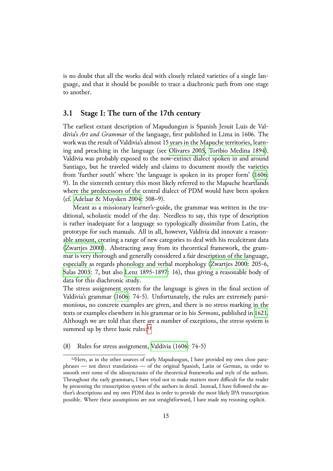is no doubt that all the works deal with closely related varieties of a single language, and that it should be possible to trace a diachronic path from one stage to another.

## **3.1 Stage I: The turn of the 17th century**

<span id="page-14-1"></span>The earliest extant description of Mapudungun is Spanish Jesuit Luis de Valdivia's *Art and Grammar* of the language, first published in Lima in 1606. The work was the result of Valdivia's almost 15 years in the Mapuche territories, learning and preaching in the language (see Olivares 2005, Toribio Medina 1894). Valdivia was probably exposed to the now-extinct dialect spoken in and around Santiago, but he traveled widely and claims to document mostly the varieties from 'further south' where 'the languag[e is spoken in](#page-49-10) [its proper form' \(1606](#page-51-3): 9). In the sixteenth century this most likely referred to the Mapuche heartlands where the predecessors of the central dialect of PDM would have been spoken (cf. Adelaar & Muysken 2004: 508–9).

Meant as a missionary learner's-guide, the grammar was written in th[e tra](#page-51-2)ditional, scholastic model of the day. Needless to say, this type of description is r[ather inadequate for a lang](#page-46-2)uage so typologically dissimilar from Latin, the prototype for such manuals. All in all, however, Valdivia did innovate a reasonable amount, creating a range of new categories to deal with his recalcitrant data (Zwartjes 2000). Abstracting away from its theoretical framework, the grammar is very thorough and generally considered a fair description of the language, especially as regards phonology and verbal morphology (Zwartjes 2000: 205-6, [Salas 2003: 7, b](#page-51-4)ut also Lenz 1895-1897: 16), thus giving a reasonable body of data for this diachronic study.

The stress assignment system for the language is given [in the final se](#page-51-4)ction of [Valdivia's g](#page-50-10)rammar (16[06: 74-5\). Unfor](#page-49-8)tunately, the rules are extremely parsimonious, no concrete examples are given, and there is no stress marking in the texts or examples elsewhere in his grammar or in his *Sermons*, published in 1621. Although we are tol[d tha](#page-51-2)t there are a number of exceptions, the stress system is summed up by three basic rules: $12$ 

⑻ Rules for stress assignment, Valdivia (1606: 74-5)

<span id="page-14-0"></span> $12$ Here, as in the other sources of [ear](#page-14-0)ly Mapudungun, I have provided my own close paraphrases — not direct translations — of the original Spanish, Latin or German, in order to smooth over some of the idiosyncrasies [of the theoretical](#page-51-2) frameworks and style of the authors. Throughout the early grammars, I have tried not to make matters more difficult for the reader by presenting the transcription system of the authors in detail. Instead, I have followed the author's descriptions and my own PDM data in order to provide the most likely IPA transcription possible. Where these assumptions are not straightforward, I have made my resoning explicit.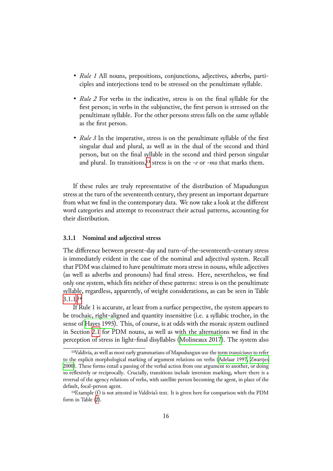- *Rule 1* All nouns, prepositions, conjunctions, adjectives, adverbs, participles and interjections tend to be stressed on the penultimate syllable.
- *Rule 2* For verbs in the indicative, stress is on the final syllable for the first person; in verbs in the subjunctive, the first person is stressed on the penultimate syllable. For the other persons stress falls on the same syllable as the first person.
- *Rule 3* In the imperative, stress is on the penultimate syllable of the first singular dual and plural, as well as in the dual of the second and third person, but on the final syllable in the second and third person singular and plural. In transitions,<sup>13</sup> stress is on the *-e* or *-mo* that marks them.

If these rules are truly rep[res](#page-15-0)entative of the distribution of Mapudungun stress at the turn of the seventeenth century, they present an important departure from what we find in the contemporary data. We now take a look at the different word categories and attempt to reconstruct their actual patterns, accounting for their distribution.

#### **3.1.1 Nominal and adjectival stress**

<span id="page-15-1"></span>The difference between present-day and turn-of-the-seventeenth-century stress is immediately evident in the case of the nominal and adjectival system. Recall that PDM was claimed to have penultimate mora stress in nouns, while adjectives (as well as adverbs and pronouns) had final stress. Here, nevertheless, we find only one system, which fits neither of these patterns: stress is on the penultimate syllable, regardless, apparently, of weight considerations, as can be seen in Table 3.1.1.<sup>14</sup>

If Rule 1 is accurate, at least from a surface perspective, the system appears to be trochaic, right-aligned and quantity insensitive (i.e. a syllabic trochee, in the [sense](#page-15-1) [of](#page-15-2) Hayes 1995). This, of course, is at odds with the moraic system outlined in Section 2.1 for PDM nouns, as well as with the alternations we find in the perception of stress in light-final disyllables (Molineaux 2017). The system also

<sup>&</sup>lt;sup>13</sup>Vald[ivia, as well as m](#page-48-3)ost early grammarians of Mapudungun use the term *transiciones* to refer to the explici[t mo](#page-4-1)rphological marking of argument relations on verbs (Adelaar 1997, Zwartjes 2000). These forms entail a passing of the verbal action from one argument to another, or doing so reflexively or reciprocally. Crucially, transitions include inversion marking, where there is a reversal of the agency relations of verbs, with satellite person becoming the agent, in place of the default, focal-person agent.

<span id="page-15-2"></span><span id="page-15-0"></span><sup>&</sup>lt;sup>14</sup>Example (f) is not attested in Valdivia's text. It is given here for co[mparison with](#page-46-3) t[he PDM](#page-51-4) form in Table (2).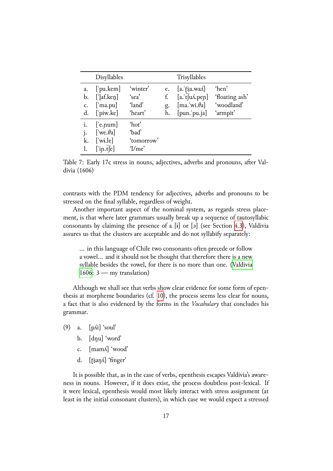|    | Disyllables              |                   |    | Trisyllables                 |                |
|----|--------------------------|-------------------|----|------------------------------|----------------|
| a. | $[$ 'pu.kem]             | 'winter'          | e. | $[a.]$ [sa.wa $\Lambda$ ]    | 'hen'          |
| b. | $\lceil$ laf.ken]        | 'sea'             | f. | $[a.$ fu $\Lambda$ .pep]     | 'floating ash' |
| c. | $[$ 'ma.pu]              | 'land'            | g. | $\left[$ ma.'wi. $\theta$ a] | 'woodland'     |
| d. | $[\n]$ piw.ke]           | 'heart'           | h. | $[pun.\overline{pu}.ja]$     | 'armpit'       |
| i. | $[$ 'e. $pum]$           | 'hot'             |    |                              |                |
| j. | ['we. $\theta$ a]        | 'bad'             |    |                              |                |
| k. | $\lceil$ 'wi.le $\rceil$ | 'tomorrow'        |    |                              |                |
|    | $[$ in.t $\hat{e}$ ]     | $^{\prime}$ I/me' |    |                              |                |

Table 7: Early 17c stress in nouns, adjectives, adverbs and pronouns, after Valdivia (1606)

<span id="page-16-0"></span>contrasts with the PDM tendency for adjectives, adverbs and pronouns to be stressed on the final syllable, regardless of weight.

Another important aspect of the nominal system, as regards stress placement, is that where later grammars usually break up a sequence of tautosyllabic consonants by claiming the presence of a  $[i]$  or  $[j]$  (see Section 4.3), Valdivia assures us that the clusters are acceptable and do not syllabify separately:

... in this language of Chile two consonants often precede or follow a vowel… and it should not be thought that therefore there i[s a n](#page-40-0)ew syllable besides the vowel, for there is no more than one. (Valdivia  $1606: 3$  — my translation)

Although we shall see that verbs show clear evidence for some form of epenthesis at morpheme boundaries (cf. 10), the process seems less c[lear for n](#page-51-2)ouns, a fact [that](#page-51-2) is also evidenced by the forms in the *Vocabulary* that concludes his grammar.

- (9) a.  $[p\text{Ai}]$  'soul'
	- b. [dŋu] 'word'
	- c. [mamʎ] 'wood'
	- d. [f͡ʂan̩ʎ] 'finger'

It is possible that, as in the case of verbs, epenthesis escapes Valdivia's awareness in nouns. However, if it does exist, the process doubtless post-lexical. If it were lexical, epenthesis would most likely interact with stress assignment (at least in the initial consonant clusters), in which case we would expect a stressed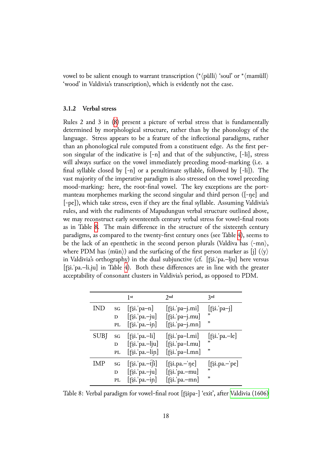vowel to be salient enough to warrant transcription (\**⟨*pülli*⟩* 'soul' or \**⟨*mamüll*⟩* 'wood' in Valdivia's transcription), which is evidently not the case.

#### **3.1.2 Verbal stress**

<span id="page-17-1"></span>Rules 2 and 3 in (8) present a picture of verbal stress that is fundamentally determined by morphological structure, rather than by the phonology of the language. Stress appears to be a feature of the inflectional paradigms, rather than an phonologic[al](#page-14-1) rule computed from a constituent edge. As the first person singular of the indicative is  $[-n]$  and that of the subjunctive,  $[-li]$ , stress will always surface on the vowel immediately preceding mood-marking (i.e. a final syllable closed by [*-*n] or a penultimate syllable, followed by [*-*li]). The vast majority of the imperative paradigm is also stressed on the vowel preceding mood-marking: here, the root-final vowel. The key exceptions are the portmanteau morphemes marking the second singular and third person ([-ŋe] and [-pe]), which take stress, even if they are the final syllable. Assuming Valdivia's rules, and with the rudiments of Mapudungun verbal structure outlined above, we may reconstruct early seventeenth century verbal stress for vowel-final roots as in Table 8. The main difference in the structure of the sixteenth century paradigms, as compared to the twenty-first century ones (see Table 4), seems to be the lack of an epenthetic in the second person plurals (Valdiva has *⟨*-mn*⟩*, where PD[M h](#page-17-0)as *⟨*mün*⟩*) and the surfacing of the first person marker as [j] (*⟨*y*⟩* in Valdivia's orthography) in the dual subjunctive (cf. [ʈ͡ʂi.ˈpa.–lju] [h](#page-11-0)ere versus [ʈ͡ʂi.ˈpa.–li.ju] in Table 4). Both these differences are in line with the greater acceptability of consonant clusters in Valdivia's period, as opposed to PDM.

|             |    | 1st                            | 2nd                          | 3rd                            |
|-------------|----|--------------------------------|------------------------------|--------------------------------|
| IND         | SG | $[\hat{\sigma}$ si. pa-n]      | $[\hat{\sigma}$ si.'pa-j.mi  | $[\hat{\sigma}$ si.'pa-j]      |
|             | D  | $[\hat{z}$ i. pa.-ju]          | $[\hat{\sigma}$ si.'pa-j.mu] | ,                              |
|             | PL | $[\hat{\sigma}$ si. pa.—in]    | $[\hat{\sigma}$ i.'pa-j.mn]  | ,                              |
| <b>SUBJ</b> | SG | $[\hat{\sigma}$ si. pa.—li]    | $[\hat{\sigma}$ si.'pa-l.mi] | $[\hat{\sigma}$ si. pa.—le]    |
|             | D  | $[\hat{z}$ i. pa.-lju]         | $[\hat{\sigma}$ si.'pa-l.mu] | "                              |
|             | PL | $[\hat{\sigma}$ si.'pa.-lin]   | $[\hat{\sigma}$ si.'pa-l.mn] | ,                              |
| IMP         | SG | $[\hat{B}$ i. pa.—t $\hat{H}]$ | $[\hat{\sigma}$ si.pa.—'ne]  | $[\hat{\sigma}, \hat{\sigma}]$ |
|             | D  | $[\hat{\sigma}$ si. pa.-ju]    | $[\hat{\sigma}$ si.'pa.-mu]  | "                              |
|             | PL | $[\hat{}$ si. pa.-in]          | $[\hat{\sigma}$ si.'pa.-mn]  | ,                              |

<span id="page-17-0"></span>Table 8: Verbal paradigm for vowel-final root [fɛ͡jpa-] 'exit', after Valdivia (1606)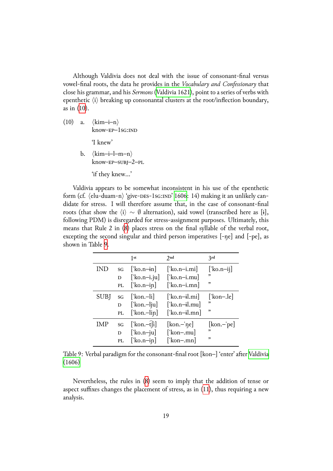Although Valdivia does not deal with the issue of consonant-final versus vowel-final roots, the data he provides in the *Vocabulary and Confessionary* that close his grammar, and his *Sermons* (Valdivia 1621), point to a series of verbs with epenthetic *⟨*i*⟩* breaking up consonantal clusters at the root/inflection boundary, as in (10).

⑽ a. *⟨*kim–i–n*⟩* know-EP-1sG:IND

'I knew'

b. *⟨*kim–i–l–m–n*⟩* know-EP-SUBJ-2-PL 'if they knew…'

Valdivia appears to be somewhat inconsistent in his use of the epenthetic form (cf.  $\langle$ elu-duam-n $\rangle$  'give-DES-1sG:IND' 1606: 14) making it an unlikely candidate for stress. I will therefore assume that, in the case of consonant-final roots (that show the *⟨*i*⟩ ∼ ∅* alternation), said vowel (transcribed here as [ɨ], following PDM) is disregarded for stress-a[ssignm](#page-51-2)ent purposes. Ultimately, this means that Rule 2 in (8) places stress on the final syllable of the verbal root, excepting the second singular and third person imperatives [-ŋe] and [-pe], as shown in Table 9.

|             |    | 1st                                         | 2nd                        | 2rd                        |
|-------------|----|---------------------------------------------|----------------------------|----------------------------|
| IND         | SG | ['ko.n-in]                                  | ['ko.n-i.mi]               | $[\text{ko.n-ij}]$         |
|             | D  | $\left[$ 'ko.n-i.ju]                        | ['ko.n-i.mu]               | ,                          |
|             | PL | ['ko.n-in]                                  | $\lceil$ ko.n-i.mn         | ,                          |
| <b>SUBJ</b> | SG | [ˈkon.-li]                                  | ['ko.n-il.mi]              | $\lceil$ 'kon-.le $\lceil$ |
|             | D  | $\lceil$ 'kon.-lju]                         | ['ko.n-il.mu]              | "                          |
|             | PL | ['kon.- $lin$ ]                             | $\lceil$ ko.n-il.mn        | "                          |
| IMP         | SG | $\lceil \text{kon} - \hat{t} \rceil \rceil$ | $[\text{kon} - \text{ne}]$ | $[kon -'pe]$               |
|             | D  | ['ko.n-ju]                                  | ['kon-.mu]                 | "                          |
|             | PL | $\lceil$ ko.n-in]                           | [ˈkon-.mn]                 | "                          |

Table 9: Verbal paradigm for the consonant-final root [kon-] 'enter' after Valdivia (1606)

<span id="page-18-0"></span>Nevertheless, the rules in (8) seem to imply that the addition of [tense or](#page-51-2) [aspect](#page-51-2) suffixes changes the placement of stress, as in (11), thus requiring a new analysis.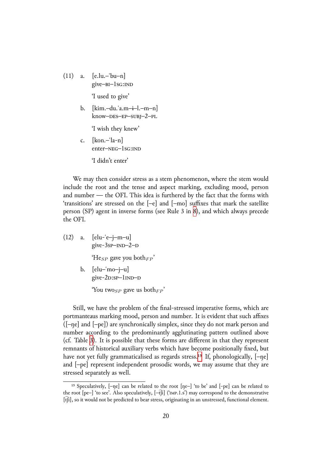$(11)$  a.  $[e.lu,-'bu-n]$ give-BI-1sG:IND

'I used to give'

b. [kim.–du.ˈa.m–ɨ–l.–m–n] know–des–ep–subj–2–pl

'I wish they knew'

c.  $[kon,-'la-n]$ enter-NEG-1sG:IND

'I didn't enter'

We may then consider stress as a stem phenomenon, where the stem would include the root and the tense and aspect marking, excluding mood, person and number — the OFI. This idea is furthered by the fact that the forms with 'transitions' are stressed on the [–e] and [–mo] suffixes that mark the satellite person (SP) agent in inverse forms (see Rule 3 in 8), and which always precede the OFI.

 $(12)$  a.  $\left[\text{elu--}e-\text{j--}m-\text{u}\right]$ give- $3$ sp- $IND-2-D$ 'He<sub>SP</sub> gave you both<sub>FP</sub>' b.  $[elu-mo-j-u]$ give-2p:sp-1<sub>IND</sub>-p

'You two<sub>SP</sub> gave us both<sub>FP</sub>'

Still, we have the problem of the final-stressed imperative forms, which are portmanteaus marking mood, person and number. It is evident that such affixes ([–ŋe] and [–pe]) are synchronically simplex, since they do not mark person and number according to the predominantly agglutinating pattern outlined above (cf. Table 3). It is possible that these forms are different in that they represent remnants of historical auxiliary verbs which have become positionally fixed, but have not yet fully grammaticalised as regards stress.<sup>15</sup> If, phonologically,  $[-\eta e]$ and [–pe] [r](#page-10-1)epresent independent prosodic words, we may assume that they are stressed separately as well.

<span id="page-19-0"></span><sup>&</sup>lt;sup>15</sup> Speculatively,  $[-\eta e]$  can be related to the root  $[\eta e^-]$  't[o b](#page-19-0)e' and  $[-\eta e]$  can be related to the root  $[pe-]$  'to see'. Also speculatively,  $[-\hat{f}j]$  ('IMP.1.s') may correspond to the demonstrative [t͡ʃi], so it would not be predicted to bear stress, originating in an unstressed, functional element.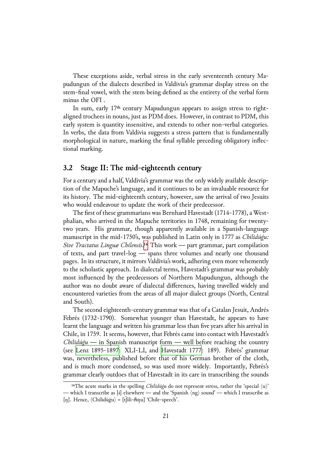These exceptions aside, verbal stress in the early seventeenth century Mapudungun of the dialects described in Valdivia's grammar display stress on the stem-final vowel, with the stem being defined as the entirety of the verbal form minus the OFI .

In sum, early 17<sup>th</sup> century Mapudungun appears to assign stress to rightaligned trochees in nouns, just as PDM does. However, in contrast to PDM, this early system is quantity insensitive, and extends to other non-verbal categories. In verbs, the data from Valdivia suggests a stress pattern that is fundamentally morphological in nature, marking the final syllable preceding obligatory inflectional marking.

## **3.2 Stage II: The mid-eighteenth century**

For a century and a half, Valdivia's grammar was the only widely available description of the Mapuche's language, and it continues to be an invaluable resource for its history. The mid-eighteenth century, however, saw the arrival of two Jesuits who would endeavour to update the work of their predecessor.

The first of these grammarians was Bernhard Havestadt (1714-1778), a Westphalian, who arrived in the Mapuche territories in 1748, remaining for twentytwo years. His grammar, though apparently available in a Spanish-language manuscript in the mid-1750's, was published in Latin only in 1777 as *Chilidúǵu: Sive Tractatus Linguæ Chilensis*.<sup>16</sup> This work — part grammar, part compilation of texts, and part travel-log — spans three volumes and nearly one thousand pages. In its structure, it mirrors Valdivia's work, adhering even more vehemently to the scholastic approach. In [dia](#page-20-0)lectal terms, Havestadt's grammar was probably most influenced by the predecessors of Northern Mapudungun, although the author was no doubt aware of dialectal differences, having travelled widely and encountered varieties from the areas of all major dialect groups (North, Central and South).

The second eighteenth-century grammar was that of a Catalan Jesuit, Andrés Febrés (1732-1790). Somewhat younger than Havestadt, he appears to have learnt the language and written his grammar less than five years after his arrival in Chile, in 175⒐ It seems, however, that Febrés came into contact with Havestadt's *Chilidúǵu* — in Spanish manuscript form — well before reaching the country (see Lenz 1895-1897: XLI-LI, and Havestadt 1777: 189). Febrés' grammar was, nevertheless, published before that of his German brother of the cloth, and is much more condensed, so was used more widely. Importantly, Febrés's gra[mmar clearly outdo](#page-49-8)es that of Have[stadt in its care i](#page-48-11)n transcribing the sounds

<span id="page-20-0"></span><sup>&</sup>lt;sup>16</sup>The acute marks in the spelling *Chilidúģu* do not represent stress, rather the 'special  $\langle u \rangle$ ' — which I transcribe as [ɨ] elsewhere — and the 'Spanish *⟨*ng*⟩* sound' — which I transcribe as [ŋ]. Hence, *⟨*Chilidúǵu*⟩* = [t͡ʃili-θɨŋu] 'Chile-speech'.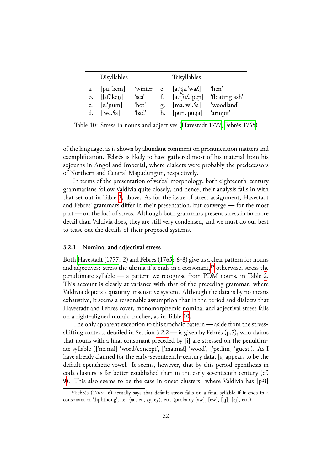|               | Disyllables                 |             |    | Trisyllables                                             |                                 |
|---------------|-----------------------------|-------------|----|----------------------------------------------------------|---------------------------------|
| a.            | [pu!kem]                    | 'winter' e. |    | $[a.f$ sa. wa $\Lambda]$                                 | 'hen'                           |
| b.            | $\left[$ laf.'ken $\right]$ | 'sea'       | f. |                                                          | $[a.f]uA.]$ eqn] 'floating ash' |
| $C_{\bullet}$ | $[e.]$ num]                 | 'hot'       | g. | $\left[\text{ma.}\forall\text{wi.}\theta\text{a}\right]$ | 'woodland'                      |
| d.            | ['we. $\theta$ a]           | 'bad'       | h. | [pun.'pu.ja] 'armpit'                                    |                                 |

<span id="page-21-1"></span>Table 10: Stress in nouns and adjectives (Havestadt 1777, Febrés 1765)

of the language, as is shown by abundant com[ment on pronunc](#page-48-11)i[ation matter](#page-47-9)s and exemplification. Febrés is likely to have gathered most of his material from his sojourns in Angol and Imperial, where dialects were probably the predecessors of Northern and Central Mapudungun, respectively.

In terms of the presentation of verbal morphology, both eighteenth-century grammarians follow Valdivia quite closely, and hence, their analysis falls in with that set out in Table 3, above. As for the issue of stress assignment, Havestadt and Febrés' grammars differ in their presentation, but converge — for the most part — on the loci of stress. Although both grammars present stress in far more detail than Valdivia d[oe](#page-10-1)s, they are still very condensed, and we must do our best to tease out the details of their proposed systems.

#### **3.2.1 Nominal and adjectival stress**

<span id="page-21-2"></span>Both Havestadt (1777: 2) and Febrés (1765: 6-8) give us a clear pattern for nouns and adjectives: stress the ultima if it ends in a consonant,<sup>17</sup> otherwise, stress the penultimate syllable — a pattern we recognise from PDM nouns, in Table 2. This [account is clearl](#page-48-11)y at var[iance with th](#page-47-9)at of the preceding grammar, where Valdivia depicts a quantity-insensitive system. Although [th](#page-21-0)e data is by no means exhaustive, it seems a reasonable assumption that in the period and dialects th[at](#page-5-0) Havestadt and Febrés cover, monomorphemic nominal and adjectival stress falls on a right-aligned moraic trochee, as in Table 10.

The only apparent exception to this trochaic pattern — aside from the stressshifting contexts detailed in Section  $3.2.2$  — is given by Febrés (p.7), who claims that nouns with a final consonant preceded by [\[ɨ\]](#page-21-1) are stressed on the penultimate syllable ([ˈne.mɨl] 'word/concept', [ˈma.mɨʎ] 'wood', [ˈpe.lɨm] 'guest'). As I have already claimed for the early-se[ventee](#page-22-0)nth-century data, [ɨ] appears to be the default epenthetic vowel. It seems, however, that by this period epenthesis in coda clusters is far better established than in the early seventeenth century (cf. 9). This also seems to be the case in onset clusters: where Valdivia has [pʎi]

<span id="page-21-0"></span> $17$ Febrés (1765: 6) actually says that default stress falls on a final syllable if it ends in a consonant or 'diphthong', i.e. *⟨*au, eu, ay, ey*⟩*, etc. (probably [aw], [ew], [aj], [ej], etc.).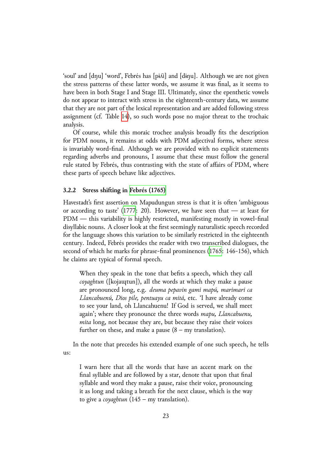'soul' and [dŋu] 'word', Febrés has [pɨʎi] and [dɨŋu]. Although we are not given the stress patterns of these latter words, we assume it was final, as it seems to have been in both Stage I and Stage III. Ultimately, since the epenthetic vowels do not appear to interact with stress in the eighteenth-century data, we assume that they are not part of the lexical representation and are added following stress assignment (cf. Table 14), so such words pose no major threat to the trochaic analysis.

Of course, while this moraic trochee analysis broadly fits the description for PDM nouns, it re[ma](#page-28-0)ins at odds with PDM adjectival forms, where stress is invariably word-final. Although we are provided with no explicit statements regarding adverbs and pronouns, I assume that these must follow the general rule stated by Febrés, thus contrasting with the state of affairs of PDM, where these parts of speech behave like adjectives.

#### **3.2.2 Stress shifting in Febrés (1765)**

<span id="page-22-0"></span>Havestadt's first assertion on Mapudungun stress is that it is often 'ambiguous or according to taste' (1777: 20). However, we have seen that — at least for PDM — this variability [is highly restri](#page-47-9)cted, manifesting mostly in vowel-final disyllabic nouns. A closer look at the first seemingly naturalistic speech recorded for the language shows [this v](#page-48-11)ariation to be similarly restricted in the eighteenth century. Indeed, Febrés provides the reader with two transcribed dialogues, the second of which he marks for phrase-final prominences (1765: 146-156), which he claims are typical of formal speech.

When they speak in the tone that befits a speech, which they call *coyaghtun* ([kojaɰtun]), all the words at which t[hey m](#page-47-9)ake a pause are pronounced long, e.g. *deuma pepavin gami mapú, marimari ca Llancahuenú, Dios pile, pentuayu ca mitá,* etc. 'I have already come to see your land, oh Llancahuenu! If God is served, we shall meet again'; where they pronounce the three words *mapu, Llancahuenu, mita* long, not because they are, but because they raise their voices further on these, and make a pause  $(8 - my translation)$ .

In the note that precedes his extended example of one such speech, he tells us:

I warn here that all the words that have an accent mark on the final syllable and are followed by a star, denote that upon that final syllable and word they make a pause, raise their voice, pronouncing it as long and taking a breath for the next clause, which is the way to give a *coyaghtun* (145 – my translation).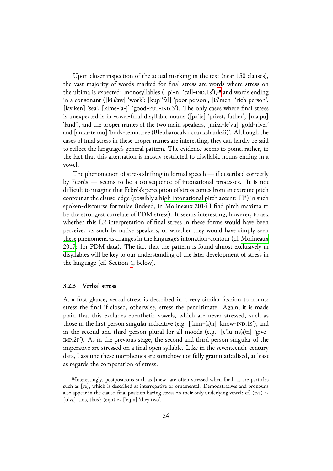Upon closer inspection of the actual marking in the text (near 150 clauses), the vast majority of words marked for final stress are words where stress on the ultima is expected: monosyllables ( $\lceil$ 'pi-n $\rceil$ 'call- $\lceil$ IND.1s'),<sup>18</sup> and words ending in a consonant ([kɨˈθaw] 'work'; [kuɲiˈfal] 'poor person', [ɨʎˈmen] 'rich person', [lav'ken] 'sea', [kɨme-ˈa-j] 'good-FUT-IND.3'). The only cases where final stress is unexpected is in vowel-final disyllabic nouns ([paˈje] 'pri[es](#page-23-0)t, father'; [maˈpu] 'land'), and the proper names of the two main speakers, [miʎa-leˈvu] 'gold-river' and [anka-teˈmu] 'body-temo.tree (Blepharocalyx cruckshanksii)'. Although the cases of final stress in these proper names are interesting, they can hardly be said to reflect the language's general pattern. The evidence seems to point, rather, to the fact that this alternation is mostly restricted to disyllabic nouns ending in a vowel.

The phenomenon of stress shifting in formal speech — if described correctly by Febrés — seems to be a consequence of intonational processes. It is not difficult to imagine that Febrés's perception of stress comes from an extreme pitch contour at the clause-edge (possibly a high intonational pitch accent:  $H^*$ ) in such spoken-discourse formulae (indeed, in Molineaux 2014 I find pitch maxima to be the strongest correlate of PDM stress). It seems interesting, however, to ask whether this L<sub>2</sub> interpretation of final stress in these forms would have been perceived as such by native speakers, [or whether they w](#page-49-5)ould have simply seen these phenomena as changes in the language's intonation-contour (cf. Molineaux 2017: for PDM data). The fact that the pattern is found almost exclusively in disyllables will be key to our understanding of the later development of stress in the language (cf. Section 4, below).

#### **3.2.3 Verbal stress**

At a first glance, verbal stress is described in a very similar fashion to nouns: stress the final if closed, otherwise, stress the penultimate. Again, it is made plain that this excludes epenthetic vowels, which are never stressed, such as those in the first person singular indicative (e.g.  $\lceil \text{kim}-(i)n \rceil$  'know- $\lceil \text{ND} \cdot 1 \rceil$ ), and in the second and third person plural for all moods (e.g. [eˈlu-m(ɨ)n] 'give-  $IMP.2P'$ ). As in the previous stage, the second and third person singular of the imperative are stressed on a final open syllable. Like in the seventeenth-century data, I assume these morphemes are somehow not fully grammaticalised, at least as regards the computation of stress.

<span id="page-23-0"></span><sup>&</sup>lt;sup>18</sup>Interestingly, postpositions such as [mew] are often stressed when final, as are particles such as [ve], which is described as interrogative or ornamental. Demonstratives and pronouns also appear in the clause-final position having stress on their only underlying vowel: cf. *⟨*tva*⟩ ∼* [tɨˈva] 'this, thus'; *⟨*eŋn*⟩ ∼* [ˈeŋɨn] 'they two'.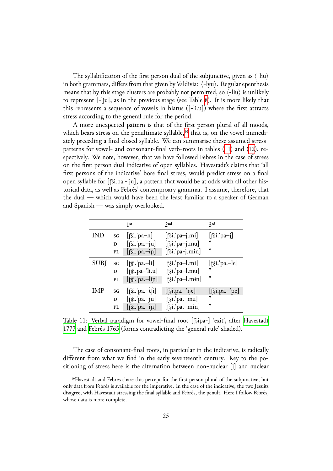The syllabification of the first person dual of the subjunctive, given as *⟨*-liu*⟩* in both grammars, differs from that given by Valdivia:  $\langle$ -lyu $\rangle$ . Regular epenthesis means that by this stage clusters are probably not permitted, so *⟨*-liu*⟩* is unlikely to represent [-lju], as in the previous stage (see Table 8). It is more likely that this represents a sequence of vowels in hiatus ([-li.u]) where the first attracts stress according to the general rule for the period.

A more unexpected pattern is that of the first pe[rs](#page-17-0)on plural of all moods, which bears stress on the penultimate syllable,<sup>19</sup> that is, on the vowel immediately preceding a final closed syllable. We can summarise these assumed stresspatterns for vowel- and consonant-final verb-roots in tables (11) and (12), respectively. We note, however, that we have fol[low](#page-24-0)ed Febres in the case of stress on the first person dual indicative of open syllables. Havestadt's claims that 'all first persons of the indicative' bore final stress, would predic[t st](#page-24-1)ress o[n a](#page-25-0) final open syllable for [ʈ͡ʂi.pa.-ˈju], a pattern that would be at odds with all other historical data, as well as Febrés' contemproary grammar. I assume, therefore, that the dual — which would have been the least familiar to a speaker of German and Spanish — was simply overlooked.

|             |    | 1st                                         | 2nd                           | 3rd                         |
|-------------|----|---------------------------------------------|-------------------------------|-----------------------------|
| IND         | SG | $[\hat{\sigma}$ si. pa-n]                   | $[\hat{\sigma}$ si. pa-j.mi]  | $[\hat{\sigma}$ si.'pa-j]   |
|             | D  | $[\hat{}$ si. pa.-ju]                       | $[\hat{\sigma}$ si.'pa-j.mu]  | ,,                          |
|             | PL | $[\hat{}$ [si. pa.-in]                      | $[\hat{\sigma}$ si.'pa-j.min] | "                           |
| <b>SUBJ</b> | SG | $[\hat{\sigma}$ si. pa.-li]                 | $[\hat{\sigma}$ si.'pa-l.mi]  | $[\hat{\sigma}$ si. pa.—le] |
|             | D  | $[\hat{\sigma}$ si.pa-'li.u]                | $[\hat{\sigma}$ si.'pa-l.mu]  | "                           |
|             | PL | $[\hat{\sigma}$ si.'pa.-lin]                | $[\hat{\sigma}$ si.'pa-l.min] | "                           |
| IMP         | SG | $[\hat{\sigma}$ si. pa.-t $\hat{\sigma}$ i] | $[\hat{\sigma}$ si.pa.-'ne]   | $[\hat{\sigma}$ si.pa.-'pe] |
|             | D  | $[\hat{\sigma}$ si.'pa.-ju]                 | $[\hat{\sigma}$ si.'pa.-mu]   | "                           |
|             | PL | $[\hat{}$ [si. pa.-in]                      | $[\hat{\sigma}$ si.'pa.-min]  | "                           |

Table 11: Verbal paradigm for vowel-final root [fɛ͡jpa-] 'exit', after Havestadt 1777 and Febrés 1765 (forms contradicting the 'general rule' shaded).

<span id="page-24-1"></span>The case of consonant-final roots, in particular in the indicative, [is radically](#page-48-11) [differ](#page-48-11)ent from what we find in the early seventeenth century. Key to the positioning of stress here is the alternation between non-nuclear [j] and nuclear

<span id="page-24-0"></span><sup>&</sup>lt;sup>19</sup>Havestadt and Febres share this percept for the first person plural of the subjunctive, but only data from Febrés is available for the imperative. In the case of the indicative, the two Jesuits disagree, with Havestadt stressing the final syllable and Febrés, the penult. Here I follow Febrés, whose data is more complete.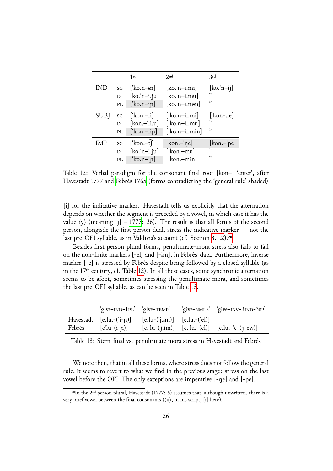|             |    | 1st                       | 2nd                  | 2rd                               |
|-------------|----|---------------------------|----------------------|-----------------------------------|
| IND         | SG | $\lceil$ ko.n-in          | $[ko.'n-i.mi]$       | $[\text{ko}, \text{n}-\text{ij}]$ |
|             | D  | $[ko, n-i.ju]$            | $[ko.'n-i.mu]$       | ,                                 |
|             | PL | $\left[$ ko.n-in          | $[ko.'n-i.min]$      | "                                 |
| <b>SUBJ</b> | SG | $\lceil$ kon.-li $\rceil$ | $\lceil$ ko.n-il.mi] | [ˈkon-.le]                        |
|             | D  | $[kon,-'li.u]$            | ['ko.n-il.mu]        | "                                 |
|             | PL | $\lceil$ kon.-lin         | ['ko.n-il.min]       | ,                                 |
| IMP         | SG | ['kon.-t $\hat{[}$ i]     | $[kon,-'ne]$         | $[kon - p e]$                     |
|             | D  | $[ko, n-i.ju]$            | [ˈkon.–mu]           | "                                 |
|             | PL | $\lceil$ 'ko.n-in         | [ˈkon.–mɨn]          | ,                                 |

Table 12: Verbal paradigm for the consonant-final root  $[kon-]$  'enter', after Havestadt 1777 and Febrés 1765 (forms contradicting the 'general rule' shaded)

<span id="page-25-0"></span>[\[i\] for the indic](#page-48-11)ativ[e marker. H](#page-47-9)avestadt tells us explicitly that the alternation depends on whether the segment is preceded by a vowel, in which case it has the value  $\langle y \rangle$  (meaning [j] – 1777: 26). The result is that all forms of the second person, alongisde the first person dual, stress the indicative marker — not the last pre-OFI syllable, as in Valdivia's account (cf. Section 3.1.2).<sup>20</sup>

Besides first person [plural](#page-48-11) forms, penultimate-mora stress also fails to fall on the non-finite markers [-el] and [-ɨm], in Febrés' data. Furthermore, inverse marker [-e] is stressed by Febrés despite being followed [by a c](#page-17-1)l[os](#page-25-1)ed syllable (as in the 17<sup>th</sup> century, cf. Table 12). In all these cases, some synchronic alternation seems to be afoot, sometimes stressing the penultimate mora, and sometimes the last pre-OFI syllable, as can be seen in Table 13.

|        | 'give-IND-1PL' 'give-TEMP'                                     |                                   | 'give-NMLS' 'give-INV-3IND-3sp'                         |
|--------|----------------------------------------------------------------|-----------------------------------|---------------------------------------------------------|
| Febrés | Havestadt $[e.lu.-('i-p)]$<br>$\lceil e' \ln - (i - p) \rceil$ | $[e.lu-(i-im)]$ $[e.lu.-('el)]$ — | $[e$ .'lu-(j.im)] $[e$ .'lu.-(el)] $[e$ .lu.-'e-(j-ew)] |

Table 13: Stem-final vs. penultimate mora stress in Havestadt and Febrés

<span id="page-25-2"></span>We note then, that in all these forms, where stress does not follow the general rule, it seems to revert to what we find in the previous stage: stress on the last vowel before the OFI. The only exceptions are imperative [-ŋe] and [-pe].

<span id="page-25-1"></span> $^{20}$ In the 2<sup>nd</sup> person plural, Havestadt (1777: 5) assumes that, although unwritten, there is a very brief vowel between the final consonants (*⟨*ù*⟩*, in his script, [ɨ] here).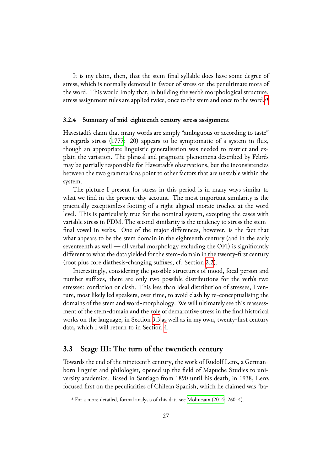It is my claim, then, that the stem-final syllable does have some degree of stress, which is normally demoted in favour of stress on the penultimate mora of the word. This would imply that, in building the verb's morphological structure, stress assignment rules are applied twice, once to the stem and once to the word.<sup>21</sup>

#### **3.2.4 Summary of mid-eighteenth century stress assignment**

Havestadt's claim that many words are simply "ambiguous or according to tast[e"](#page-26-0) as regards stress (1777: 20) appears to be symptomatic of a system in flux, though an appropriate linguistic generalisation was needed to restrict and explain the variation. The phrasal and pragmatic phenomena described by Febrés may be partially re[spons](#page-48-11)ible for Havestadt's observations, but the inconsistencies between the two grammarians point to other factors that are unstable within the system.

The picture I present for stress in this period is in many ways similar to what we find in the present-day account. The most important similarity is the practically exceptionless footing of a right-aligned moraic trochee at the word level. This is particularly true for the nominal system, excepting the cases with variable stress in PDM. The second similarity is the tendency to stress the stemfinal vowel in verbs. One of the major differences, however, is the fact that what appears to be the stem domain in the eighteenth century (and in the early seventeenth as well — all verbal morphology excluding the OFI) is significantly different to what the data yielded for the stem-domain in the twenty-first century (root plus core diathesis-changing suffixes, cf. Section ⒉2).

Interestingly, considering the possible structures of mood, focal person and number suffixes, there are only two possible distributions for the verb's two stresses: conflation or clash. This less than ideal distri[buti](#page-6-0)on of stresses, I venture, most likely led speakers, over time, to avoid clash by re-conceptualising the domains of the stem and word-morphology. We will ultimately see this reassessment of the stem-domain and the role of demarcative stress in the final historical works on the language, in Section 3.3 as well as in my own, twenty-first century data, which I will return to in Section 4.

## **3.3 Stage III: The turn of [the](#page-26-1) [t](#page-36-0)wentieth century**

<span id="page-26-1"></span>Towards the end of the nineteenth century, the work of Rudolf Lenz, a Germanborn linguist and philologist, opened up the field of Mapuche Studies to university academics. Based in Santiago from 1890 until his death, in 1938, Lenz focused first on the peculiarities of Chilean Spanish, which he claimed was "ba-

<span id="page-26-0"></span> $21$  For a more detailed, formal analysis of this data see Molineaux (2014: 260–4).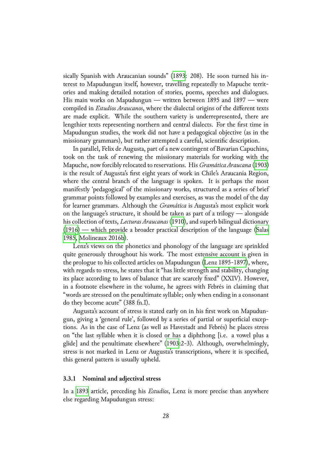sically Spanish with Araucanian sounds" (1893: 208). He soon turned his interest to Mapudungun itself, however, travelling repeatedly to Mapuche territories and making detailed notation of stories, poems, speeches and dialogues. His main works on Mapudungun — wri[tten b](#page-49-11)etween 1895 and 1897 — were compiled in *Estudios Araucanos*, where the dialectal origins of the different texts are made explicit. While the southern variety is underrepresented, there are lengthier texts representing northern and central dialects. For the first time in Mapudungun studies, the work did not have a pedagogical objective (as in the missionary grammars), but rather attempted a careful, scientific description.

In parallel, Felix de Augusta, part of a new contingent of Bavarian Capuchins, took on the task of renewing the missionary materials for working with the Mapuche, now forcibly relocated to reservations. His *Gramática Araucana* (1903) is the result of Augusta's first eight years of work in Chile's Araucanía Region, where the central branch of the language is spoken. It is perhaps the most manifestly 'pedagogical' of the missionary works, structured as a series o[f brie](#page-46-0)f grammar points followed by examples and exercises, as was the model of the day for learner grammars. Although the *Gramática* is Augusta's most explicit work on the language's structure, it should be taken as part of a trilogy — alongside his collection of texts, *Lecturas Araucanas* (1910), and superb bilingual dictionary (1916) — which provide a broader practical description of the language (Salas 1985, Molineaux 2016b).

Lenz's views on the phonetics and ph[onolo](#page-47-11)gy of the language are sprinkled [quite](#page-47-12) generously throughout his work. The most extensive account is giv[en in](#page-50-11) [the p](#page-50-11)r[ologue to his colle](#page-49-12)cted articles on Mapudungun (Lenz 1895-1897), where, with regards to stress, he states that it "has little strength and stability, changing its place according to laws of balance that are scarcely fixed" (XXIV). However, in a footnote elsewhere in the volume, he agrees wit[h Febrés in claim](#page-49-8)ing that "words are stressed on the penultimate syllable; only when ending in a consonant do they become acute" (388 fn.I).

Augusta's account of stress is stated early on in his first work on Mapudungun, giving a 'general rule', followed by a series of partial or superficial exceptions. As in the case of Lenz (as well as Havestadt and Febrés) he places stress on "the last syllable when it is closed or has a diphthong [i.e. a vowel plus a glide] and the penultimate elsewhere" (1903:2-3). Although, overwhelmingly, stress is not marked in Lenz or Augusta's transcriptions, where it is specified, this general pattern is usually upheld.

#### **3.3.1 Nominal and adjectival stress**

<span id="page-27-0"></span>In a 1893 article, preceding his *Estudios*, Lenz is more precise than anywhere else regarding Mapudungun stress: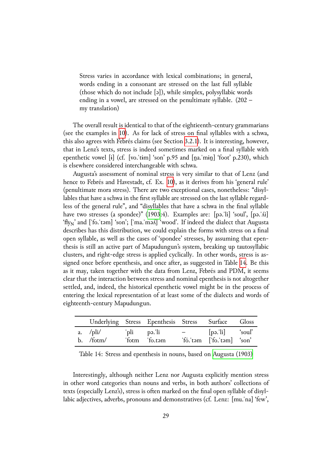Stress varies in accordance with lexical combinations; in general, words ending in a consonant are stressed on the last full syllable (those which do not include [ə]), while simplex, polysyllabic words ending in a vowel, are stressed on the penultimate syllable. (202 – my translation)

The overall result is identical to that of the eightieenth-century grammarians (see the examples in 10). As for lack of stress on final syllables with a schwa, this also agrees with Febrés claims (see Section 3.2.1). It is interesting, however, that in Lenz's texts, stress is indeed sometimes marked on a final syllable with epenthetic vowel  $[i]$  ([cf.](#page-21-1) [vo.'tim] 'son' p.95 and  $[na$ .'min] 'foot' p.230), which is elsewhere considered interchangeable with s[chwa.](#page-21-2)

Augusta's assessment of nominal stress is very similar to that of Lenz (and hence to Febrés and Havestadt, cf. Ex. 10), as it derives from his 'general rule' (penultimate mora stress). There are two exceptional cases, nonetheless: "disyllables that have a schwa in the first syllable are stressed on the last syllable regardless of the general rule", and "disyllable[s th](#page-21-1)at have a schwa in the final syllable have two stresses (a spondee)" (1903:4). Examples are: [pə.'li] 'soul', [pə.'/i] 'fly<sub>N</sub>' and ['fo.'təm] 'son'; ['ma.'mə*l*.] 'wood'. If indeed the dialect that Augusta describes has this distribution, we could explain the forms with stress on a final open syllable, as well as the case[s of 's](#page-46-0)pondee' stresses, by assuming that epenthesis is still an active part of Mapudungun's system, breaking up tautosyllabic clusters, and right-edge stress is applied cyclically. In other words, stress is assigned once before epenthesis, and once after, as suggested in Table 14. Be this as it may, taken together with the data from Lenz, Febrés and PDM, it seems clear that the interaction between stress and nominal epenthesis is not altogether settled, and, indeed, the historical epenthetic vowel might be in th[e p](#page-28-0)rocess of entering the lexical representation of at least some of the dialects and words of eighteenth-century Mapudungun.

|             | Underlying Stress Epenthesis Stress Surface Gloss |                                                  |  |
|-------------|---------------------------------------------------|--------------------------------------------------|--|
| $b.$ /fotm/ | 'fotm 'fo.tam                                     | $-$ [pə.'li] 'soul'<br>'fó.'tam ['fo.'tam] 'son' |  |

<span id="page-28-0"></span>Table 14: Stress and epenthesis in nouns, based on Augusta (1903)

Interestingly, although neither Lenz nor Augusta explicitly mention stress in other word categories than nouns and verbs, in both [authors' collectio](#page-46-0)ns of texts (especially Lenz's), stress is often marked on the final open syllable of disyllabic adjectives, adverbs, pronouns and demonstratives (cf. Lenz: [mu.ˈna] 'few',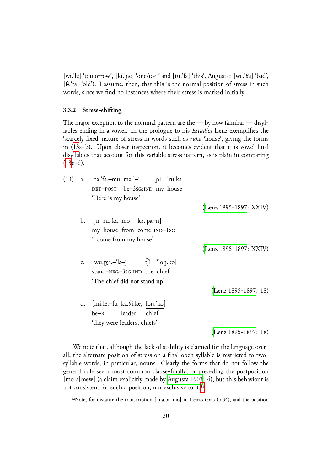[wi.le] 'tomorrow', [ki.|ne] 'one/DET' and [tu.|fa] 'this', Augusta: [we.|θa] 'bad', [fɨ.ˈta] 'old'). I assume, then, that this is the normal position of stress in such words, since we find no instances where their stress is marked initially.

#### **3.3.2 Stress-shifting**

<span id="page-29-0"></span>The major exception to the nominal pattern are the — by now familiar — disyllables ending in a vowel. In the prologue to his *Estudios* Lenz exemplifies the 'scarcely fixed' nature of stress in words such as *ruka* 'house', giving the forms in (13a–b). Upon closer inspection, it becomes evident that it is vowel-final disyllables that account for this variable stress pattern, as is plain in comparing  $(13c-d).$ 

| (13) | a. [tə. fa.-mu mə. l-i pi ru. ka]            |                        |
|------|----------------------------------------------|------------------------|
|      | DET-POST be-3sG:IND my house                 |                        |
|      | 'Here is my house'                           |                        |
|      |                                              | (Lenz 1895-1897: XXIV) |
|      | b. [pi $\frac{ru \cdot ka}{ra}$ mo kə.'pa-n] |                        |
|      | my house from come-IND-1sG                   |                        |
|      | 'I come from my house'                       |                        |
|      |                                              | (Lenz 1895-1897: XXIV) |
|      | c. $[wu.fsa,-'la-j$ $t[i \quad lon.ko]$      |                        |
|      | stand-NEG-3sG:IND the chief                  |                        |
|      | 'The chief did not stand up'                 |                        |
|      |                                              | $(Lenz 1895-1897: 18)$ |
|      | d. [mi.le.-fu ka. $\theta$ i.ke, lon.'ko]    |                        |
|      | be-BI leader chief                           |                        |
|      | 'they were leaders, chiefs'                  |                        |
|      |                                              | $(Lenz 1895-1897: 18)$ |

We note that, although the lack of stability is claimed for the language overall, the alternate position of stress on a final open syllable is restricted to twosyllable words, in particular, nouns. Clearly the forms t[hat do not follow](#page-49-8) the general rule seem most common clause-finally, or preceding the postposition [mo]/[mew] (a claim explicitly made by Augusta 1903: 4), but this behaviour is not consistent for such a position, nor exclusive to it.<sup>22</sup>

 $22$ Note, for instance the transcription ['ma.[pu mo\] in Lenz's](#page-46-0) texts (p.34), and the position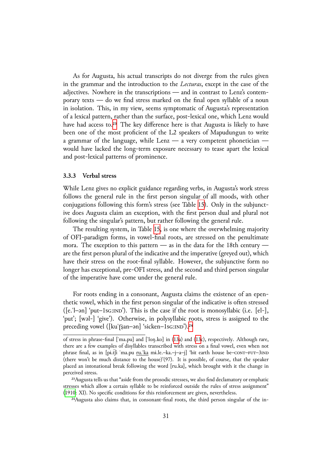As for Augusta, his actual transcripts do not diverge from the rules given in the grammar and the introduction to the *Lecturas*, except in the case of the adjectives. Nowhere in the transcriptions — and in contrast to Lenz's contemporary texts — do we find stress marked on the final open syllable of a noun in isolation. This, in my view, seems symptomatic of Augusta's representation of a lexical pattern, rather than the surface, post-lexical one, which Lenz would have had access to.<sup>23</sup> The key difference here is that Augusta is likely to have been one of the most proficient of the L2 speakers of Mapudungun to write a grammar of the language, while Lenz  $-$  a very competent phonetician  $$ would have lacked [th](#page-30-0)e long-term exposure necessary to tease apart the lexical and post-lexical patterns of prominence.

#### **3.3.3 Verbal stress**

<span id="page-30-2"></span>While Lenz gives no explicit guidance regarding verbs, in Augusta's work stress follows the general rule in the first person singular of all moods, with other conjugations following this form's stress (see Table 15). Only in the subjunctive does Augusta claim an exception, with the first person dual and plural not following the singular's pattern, but rather following the general rule.

The resulting system, in Table 15, is one where [the](#page-31-0) overwhelming majority of OFI-paradigm forms, in vowel-final roots, are stressed on the penultimate mora. The exception to this pattern — as in the data for the 18th century are the first person plural of the ind[icat](#page-31-0)ive and the imperative (greyed out), which have their stress on the root-final syllable. However, the subjunctive form no longer has exceptional, pre-OFI stress, and the second and third person singular of the imperative have come under the general rule.

For roots ending in a consonant, Augusta claims the existence of an epenthetic vowel, which in the first person singular of the indicative is often stressed  $([e.']$ -ən] 'put-1sG:IND'). This is the case if the root is monosyllabic (i.e.  $[e]$ , 'put'; [wəl-] 'give'). Otherwise, in polysyllabic roots, stress is assigned to the preceding vowel ([kuˈf͡ʂan–ən] 'sicken–1sG:IND').<sup>24</sup>

of stress in phrase-final [ˈma.pu] and [ˈloŋ.ko] in (13a) and (13c), respectively. Although rare, there are a few examples of disyllables transcribed with stress on a final vowel, even when not phrase final, as in [pɨ.t͡ʃi ˈma.pu ru.ˈka mɨ.le.–ka.–j–a–j] ['b](#page-30-1)it earth house be– $\overline{corr}$ – $\overline{3}$ IND (there won't be much distance to the house)'(97). It is possible, of course, that the speaker placed an intonational break following the word [[ru.k](#page-29-0)a], wh[ich](#page-29-0) brought with it the change in perceived stress.

<sup>&</sup>lt;sup>23</sup>Augusta tells us that "aside from the prosodic stresses, we also find declamatory or emphatic stresses which allow a certain syllable to be reinforced outside the rules of stress assignment" (1910: XI). No specific conditions for this reinforcement are given, nevertheless.

<span id="page-30-1"></span><span id="page-30-0"></span><sup>&</sup>lt;sup>24</sup>Augusta also claims that, in consonant-final roots, the third person singular of the in-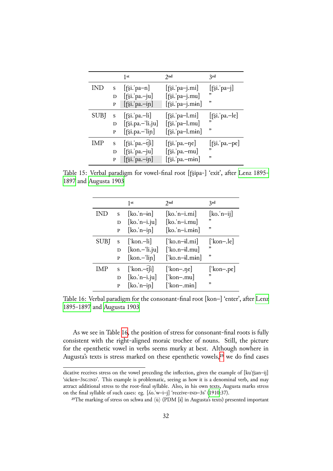|             |   | 1st                                         | 2nd                           | 3rd                         |
|-------------|---|---------------------------------------------|-------------------------------|-----------------------------|
| IND         | S | $[\hat{\sigma}$ si.'pa-n]                   | $[\hat{\sigma}$ si.'pa-j.mi]  | $[\hat{\sigma}$ si. pa-j]   |
|             | D | $[\hat{}$ si. pa.-ju]                       | $[\hat{\sigma}$ si.'pa-j.mu]  | "                           |
|             | P | $[\hat{\sigma}$ si.'pa.-in]                 | $[\hat{\sigma}$ si.'pa-j.min] | "                           |
| <b>SUBJ</b> | S | $[\hat{\sigma}$ si. pa.—li]                 | $[\hat{\sigma}$ si.'pa-l.mi]  | $[\hat{}$ si. pa.—le]       |
|             | D | $[\hat{\sigma}$ si.pa.-'li.ju]              | $[\hat{\sigma}$ si.'pa-l.mu]  | "                           |
|             | P | $[\hat{\sigma}$ si.pa.-'lin]                | $[\hat{\sigma}$ si.'pa-l.min] | ,                           |
| IMP         | S | $[\hat{\sigma}$ si. pa.—t $\hat{\sigma}$ i] | [f͡si. pa.—ne]                | $[\hat{\sigma}$ si. pa.-pe] |
|             | D | $[\hat{\sigma}$ si.'pa.-ju]                 | [f͡si.ˈpa.-mu]                | ,,                          |
|             | P | $[\hat{\sigma}$ si.'pa.-in]                 | $[\hat{\sigma}$ si.'pa.-min]  | ,                           |

Table 15: Verbal paradigm for vowel-final root [fɛ͡jpa-] 'exit', after Lenz 1895-1897 and Augusta 1903

<span id="page-31-0"></span>

|            |   | 1st                                         | 2nd                            | 2rd                 |
|------------|---|---------------------------------------------|--------------------------------|---------------------|
| <b>IND</b> | S | $[ko, n-in]$                                | $[ko.'n-i.mi]$                 | $[ko, n-ij]$        |
|            | D | $[\text{ko}.^{\text{'}n-i}.^{\text{}}]$     | $[ko.'n-i.mu]$                 | "                   |
|            | P | $[\text{ko}, \text{n} - \text{in}]$         | $[ko.'n-i.min]$                | ,                   |
| SUBJ       | S | ['kon.-li]                                  | $\lfloor$ ko.n-il.mi $\rfloor$ | $\lceil$ 'kon-.le]  |
|            | D | $[kon - 'li.ju]$                            | ['ko.n-il.mu]                  | "                   |
|            | P | $[kon -'lin]$                               | $\left[$ ko.n-il.min $\right]$ | "                   |
| IMP        | S | $\lceil \text{kon} - \hat{t} \rceil \rceil$ | $\vert$ 'kon-.ne $\vert$       | $[\text{'kon}$ -pe] |
|            | D | $[ko, 'n-i.ju]$                             | [' $kon$ -.mu]                 | ,                   |
|            | P | $[ko, n-in]$                                | $\lceil$ 'kon-.min]            | ,                   |

Table 16: Verbal paradigm for the consonant-final root [kon-] 'enter', after Lenz 1895-1897 and Augusta 1903

<span id="page-31-1"></span>[As we s](#page-49-8)ee in Table [16, the](#page-46-0) position of stress for consonant-final roots i[s fully](#page-49-8) consistent with the right-aligned moraic trochee of nouns. Still, the picture for the epenthetic vowel in verbs seems murky at best. Although nowhere in Augusta's texts is stre[ss m](#page-31-1)arked on these epenthetic vowels,<sup>25</sup> we do find cases

dicative receives stress on the vowel preceding the inflection, given the example of [ku'f͡ʂan-ij] 'sicken-3sG:IND'. This example is problematic, seeing as how it is a denominal verb, and may attract additional stress to the root-final syllable. Also, in his own texts[, A](#page-31-2)ugusta marks stress on the final syllable of such cases: eg. [*Áo.*'w-i-j] 'receive-IND-3s' (1910:37).

<span id="page-31-2"></span><sup>&</sup>lt;sup>25</sup>The marking of stress on schwa and  $\langle \dot{u} \rangle$  (PDM [i] in Augusta's texts) presented important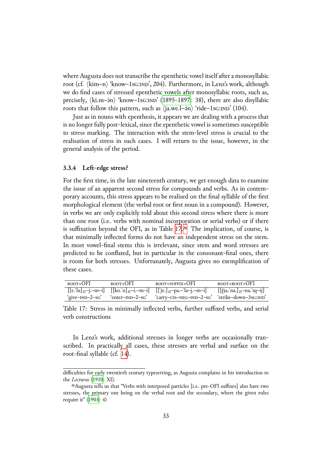where Augusta does not transcribe the epenthetic vowel itself after a monosyllabic root (cf.  $\langle$ kim–n $\rangle$  'know–1sG:IND', 204). Furthermore, in Lenz's work, although we do find cases of stressed epenthetic vowels after monosyllabic roots, such as, precisely,  $\langle$ ki.m– $\sin$ <sup>3</sup> 'know–1sG:IND' (1895-1897: 38), there are also disyllabic roots that follow this pattern, such as  $\langle$ ja.we.l– $\langle$ in $\rangle$  'ride–1sG:IND' (104).

Just as in nouns with epenthesis, it appears we are dealing with a process that is no longer fully post-lexical, since the [epenthetic](#page-49-8) vowel is sometimes susceptible to stress marking. The interaction with the stem-level stress is crucial to the realisation of stress in such cases. I will return to the issue, however, in the general analysis of the period.

#### **3.3.4 Left-edge stress?**

For the first time, in the late nineteenth century, we get enough data to examine the issue of an apparent second stress for compounds and verbs. As in contemporary accounts, this stress appears to be realised on the final syllable of the first morphological element (the verbal root or first noun in a compound). However, in verbs we are only explicitly told about this second stress where there is more than one root (i.e. verbs with nominal incorporation or serial verbs) or if there is suffixation beyond the OFI, as in Table 17.<sup>26</sup> The implication, of course, is that minimally inflected forms do not have an independent stress on the stem. In most vowel-final stems this is irrelevant, since stem and word stresses are predicted to be conflated, but in particula[r in](#page-32-0) [t](#page-32-1)he consonant-final ones, there is room for both stresses. Unfortunately, Augusta gives no exemplification of these cases.

| ROOT+OFI | ROOT+OFI | ROOT+SUFFIX+OFI                                                                                                        | ROOT+ROOT+OFI |
|----------|----------|------------------------------------------------------------------------------------------------------------------------|---------------|
|          |          | $[[e.'u]_{R}$ -j.-m-i] $[[ko.n]_{R}$ -i.-m-i] $[[\text{`e.}]_{R}$ -pa.-'la-j.-m-i] $[[\text{`sa.'}na.]_{R}$ -na.'u-ij] |               |
|          |          | 'give-IND-2-sG' 'enter-IND-2-sG' 'carry-CIS-NEG-IND-2-sG' 'strike-down-3sG:IND'                                        |               |

Table 17: Stress in minimally inflected verbs, further suffixed verbs, and serial verb constructions

<span id="page-32-0"></span>In Lenz's work, additional stresses in longer verbs are occasionally transcribed. In practically all cases, these stresses are verbal and surface on the root-final syllable (cf. 14).

difficulties for early twentieth century typesetting, as Augusta complains in his introduction to the *Lecturas* (1910: XI).

<span id="page-32-1"></span><sup>&</sup>lt;sup>26</sup>Augusta tells us that ["Ve](#page-32-0)rbs with interposed particles [i.e. pre-OFI suffixes] also have two stresses, the primary one being on the verbal root and the secondary, where the given rules require it" (1903: 4)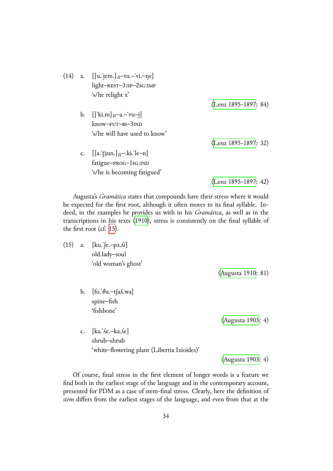| (14) |                | a. $[[u.]_{\text{rem.}}]_R$ -tu.-'vi.-ne]<br>$light$ -REST $-3$ :SP $-2$ SG:IMP<br>'s/he relight x' |                        |
|------|----------------|-----------------------------------------------------------------------------------------------------|------------------------|
|      |                |                                                                                                     | $(Lenz 1895-1897: 84)$ |
|      | $\mathbf{b}$ . | $[[\text{ki.m}]_R$ -a.-'vu-j]<br>$know-FUT-BI-3IND$<br>'s/he will have used to know'                |                        |
|      |                |                                                                                                     | (Lenz 1895-1897: 32)   |
|      |                | c. $[[a:\widehat{g}un.]_{R}$ -.ki.'le-n]<br>fatigue-PROG-1sG:IND<br>'s/he is becoming fatigued'     |                        |
|      |                |                                                                                                     | $(Lenz 1895-1897: 42)$ |

Augusta's *Gramática* states that compounds have their stress where it would be expected for the first root, although it often moves to [its final syllable.](#page-49-8) Indeed, in the examples he provides us with in his *Gramática*, as well as in the transcriptions in his texts (1910), stress is consistently on the final syllable of the first root (cf. 15).

| (15) | a. | $[ku.$ [e. - pə. $\Lambda i$ ] |
|------|----|--------------------------------|
|      |    | old.lady-soul                  |
|      |    | 'old woman's ghost'            |

(Augusta 1910: 81)

b.  $[$ fo.' $\theta$ u.-t $[a\Lambda.wa]$ spine–fish 'fishbone'

(Augusta 1903: 4)

c. [ka.ˈʎe.–ka.ʎe] shrub–shrub 'white-flowering plant (Libertia Ixioides)'

(Augusta 1903: 4)

Of course, final stress in the first element of longer words is a feature we find both in the earliest stage of the language and in the cont[emporary accou](#page-46-0)nt, presented for PDM as a case of stem-final stress. Clearly, here the definition of *stem* differs from the earliest stages of the language, and even from that at the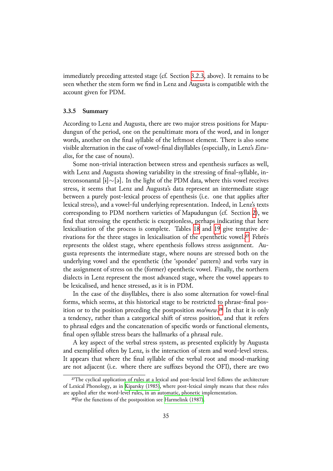immediately preceding attested stage (cf. Section 3.2.3, above). It remains to be seen whether the stem form we find in Lenz and Augusta is compatible with the account given for PDM.

#### **3.3.5 Summary**

According to Lenz and Augusta, there are two major stress positions for Mapudungun of the period, one on the penultimate mora of the word, and in longer words, another on the final syllable of the leftmost element. There is also some visible alternation in the case of vowel-final disyllables (especially, in Lenz's *Estudios*, for the case of nouns).

Some non-trivial interaction between stress and epenthesis surfaces as well, with Lenz and Augusta showing variability in the stressing of final-syllable, interconsonantal [ɨ]*∼*[ə]. In the light of the PDM data, where this vowel receives stress, it seems that Lenz and Augusta's data represent an intermediate stage between a purely post-lexical process of epenthesis (i.e. one that applies after lexical stress), and a vowel-ful underlying representation. Indeed, in Lenz's texts corresponding to PDM northern varieties of Mapudungun (cf. Section 2), we find that stressing the epenthetic is exceptionless, perhaps indicating that here lexicalisation of the process is complete. Tables 18 and 19 give tentative de-rivations for the three stages in lexicalisation of the epenthetic vowel.<sup>27</sup> [Fe](#page-3-0)brés represents the oldest stage, where epenthesis follows stress assignment. Augusta represents the intermediate stage, where n[oun](#page-35-0)s are [str](#page-35-1)essed both on the underlying vowel and the epenthetic (the 'spondee' pattern) and ver[bs](#page-34-0) vary in the assignment of stress on the (former) epenthetic vowel. Finally, the northern dialects in Lenz represent the most advanced stage, where the vowel appears to be lexicalised, and hence stressed, as it is in PDM.

In the case of the disyllables, there is also some alternation for vowel-final forms, which seems, at this historical stage to be restricted to phrase-final position or to the position preceding the postposition *mo/mew*.<sup>28</sup> In that it is only a tendency, rather than a categorical shift of stress position, and that it refers to phrasal edges and the concatenation of specific words or functional elements, final open syllable stress bears the hallmarks of a phrasal rul[e.](#page-34-1)

A key aspect of the verbal stress system, as presented explicitly by Augusta and exemplified often by Lenz, is the interaction of stem and word-level stress. It appears that where the final syllable of the verbal root and mood-marking are not adjacent (i.e. where there are suffixes beyond the OFI), there are two

<sup>&</sup>lt;sup>27</sup>The cyclical application of rules at a lexical and post-lexcial level follows the architecture of Lexical Phonology, as in Kiparsky (1985), where post-lexical simply means that these rules are applied after the word-level rules, in an automatic, phonetic implementation.

<span id="page-34-1"></span><span id="page-34-0"></span><sup>&</sup>lt;sup>28</sup> For the functions of the postposition see Harmelink (1987).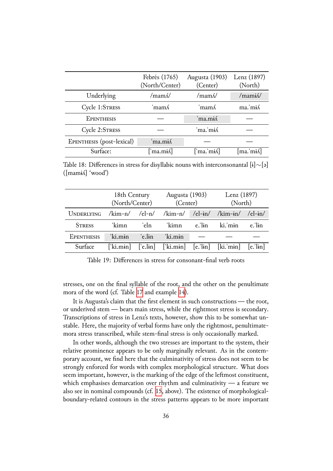|                           | Febrés (1765)<br>(North/Center) | Augusta (1903)<br>(Center) | Lenz (1897)<br>(North) |
|---------------------------|---------------------------------|----------------------------|------------------------|
| Underlying                | $/\text{mam}$                   | $/\text{mam}$              | /mami $\Lambda$        |
| Cycle 1:STRESS            | 'mamÁ                           | 'mam ∕                     | ma.'mi/                |
| <b>EPENTHESIS</b>         |                                 | 'ma.mi⁄                    |                        |
| Cycle 2:STRESS            |                                 | 'ma.'mi/                   |                        |
| EPENTHESIS (post-lexical) | ma.mis                          |                            |                        |
| Surface:                  | $\lceil$ 'ma.mi $\Lambda$       | [ˈma.ˈmɨʎ]                 | [ma.ˈmɨʎ]              |

Table 18: Differences in stress for disyllabic nouns with interconsonantal [ɨ]*∼*[ə]  $(\lceil \text{maniA} \rceil \text{ 'wood'})$ 

<span id="page-35-0"></span>

|                   | 18th Century<br>(North/Center) |        | Augusta (1903)<br>(Center) |              | Lenz (1897)<br>(North)                                                                                                                                             |              |
|-------------------|--------------------------------|--------|----------------------------|--------------|--------------------------------------------------------------------------------------------------------------------------------------------------------------------|--------------|
| <b>UNDERLYING</b> |                                |        |                            |              | $\frac{\sinh(-\ln)}{\sin(-\ln)}$ /kim-n/ /el-in/ /kim-in/ /el-in/                                                                                                  |              |
| <b>STRESS</b>     | 'kimn                          | 'eln   | 'kimn                      | $e$ .' $\ln$ | ki. min                                                                                                                                                            | $e$ .' $\ln$ |
| <b>EPENTHESIS</b> | 'ki.min                        | 'e.lɨn | 'ki min                    |              |                                                                                                                                                                    |              |
| Surface           |                                |        |                            |              | $\lceil$ 'ki.min $\rceil$ $\rceil$ 'e.lin $\rceil$ $\rceil$ 'ki.min $\rceil$ $\rceil$ e.'lin $\rceil$ $\rceil$ $\lfloor$ ki.'min $\rceil$ $\rceil$ e.'lin $\rceil$ |              |

<span id="page-35-1"></span>Table 19: Differences in stress for consonant-final verb roots

stresses, one on the final syllable of the root, and the other on the penultimate mora of the word (cf. Table 17 and example 14).

It is Augusta's claim that the first element in such constructions — the root, or underived stem — bears main stress, while the rightmost stress is secondary. Transcriptions of stress in L[enz](#page-32-0)'s texts, how[ever](#page-32-0), show this to be somewhat unstable. Here, the majority of verbal forms have only the rightmost, penultimatemora stress transcribed, while stem-final stress is only occasionally marked.

In other words, although the two stresses are important to the system, their relative prominence appears to be only marginally relevant. As in the contemporary account, we find here that the culminativity of stress does not seem to be strongly enforced for words with complex morphological structure. What does seem important, however, is the marking of the edge of the leftmost constituent, which emphasises demarcation over rhythm and culminativity — a feature we also see in nominal compounds (cf. 15, above). The existence of morphologicalboundary-related contours in the stress patterns appears to be more important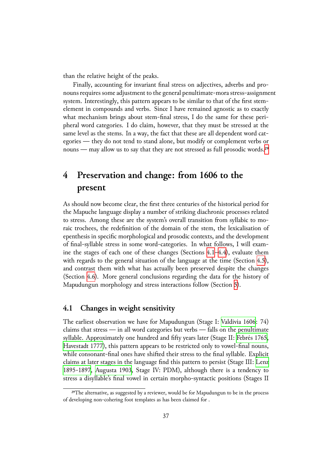than the relative height of the peaks.

Finally, accounting for invariant final stress on adjectives, adverbs and pronouns requires some adjustment to the general penultimate-mora stress-assignment system. Interestingly, this pattern appears to be similar to that of the first stemelement in compounds and verbs. Since I have remained agnostic as to exactly what mechanism brings about stem-final stress, I do the same for these peripheral word categories. I do claim, however, that they must be stressed at the same level as the stems. In a way, the fact that these are all dependent word categories — they do not tend to stand alone, but modify or complement verbs or nouns — may allow us to say that they are not stressed as full prosodic words.<sup>29</sup>

# **4 Preservation and change: from 1606 to the present**

<span id="page-36-0"></span>As should now become clear, the first three centuries of the historical period for the Mapuche language display a number of striking diachronic processes related to stress. Among these are the system's overall transition from syllabic to moraic trochees, the redefinition of the domain of the stem, the lexicalisation of epenthesis in specific morphological and prosodic contexts, and the development of final-syllable stress in some word-categories. In what follows, I will examine the stages of each one of these changes (Sections  $4.1-4.4$ ), evaluate them with regards to the general situation of the language at the time (Section  $4.5$ ), and contrast them with what has actually been preserved despite the changes (Section 4.6). More general conclusions regarding th[e da](#page-36-1)t[a fo](#page-41-0)r the history of Mapudungun morphology and stress interactions follow (Section 5).

## **4.1 C[han](#page-44-0)ges in weight sensitivity**

<span id="page-36-1"></span>The earliest observation we have for Mapudungun (Stage I: Valdivia 1606: 74) claims that stress — in all word categories but verbs — falls on the penultimate syllable. Approximately one hundred and fifty years later (Stage II: Febrés 1765, Havestadt 1777), this pattern appears to be restricted only to [vowel-final no](#page-51-2)uns, while consonant-final ones have shifted their stress to the final syllable. Explicit claims at later stages in the language find this pattern to persist (Stage III: Lenz [1895-1897,](#page-48-11) Augusta 1903, Stage IV: PDM), although there is a [tendency to](#page-47-9) stress a disyllable's final vowel in certain morpho-syntactic positions (Stages II

<sup>&</sup>lt;sup>29</sup>The alternative, as suggested by a reviewer, would be for Mapudungun to be in the [process](#page-49-8) [of developing](#page-49-8) [non-cohering foot](#page-46-0) templates as has been claimed for .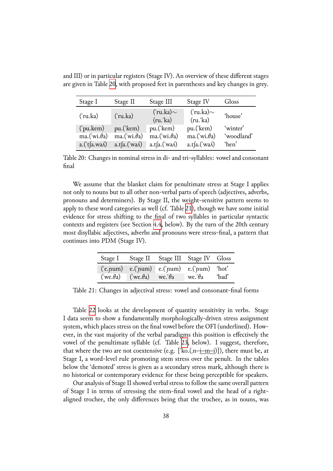| Stage I              | Stage II             | Stage III                      | Stage IV                 | Gloss      |
|----------------------|----------------------|--------------------------------|--------------------------|------------|
| ('ru.ka)             | ('ru.ka)             | $('ru.ka) \sim$<br>$(ru$ .'ka) | ('ru.ka)~<br>$(ru$ .'ka) | 'house'    |
| ('pu.kem)            | pu.('kem)            | pu.('kem)                      | pu.('kem)                | 'winter'   |
| ma.('wi. $\theta$ a) | ma.('wi. $\theta$ a) | ma.('wi. $\theta$ a)           | ma.('wi. $\theta$ a)     | 'woodland' |
| $a.(ta.wa\Lambda)$   | $a.t a.('wa\Lambda)$ | $a.t a.('wa\Lambda)$           | $a.t a.('wa\Lambda)$     | 'hen'      |

and III) or in particular registers (Stage IV). An overview of these different stages are given in Table 20, with proposed feet in parentheses and key changes in grey.

Table 20: Changes in nominal stress in di- and tri-syllables: vowel and consonant final

<span id="page-37-0"></span>We assume that the blanket claim for penultimate stress at Stage I applies not only to nouns but to all other non-verbal parts of speech (adjectives, adverbs, pronouns and determiners). By Stage II, the weight-sensitive pattern seems to apply to these word categories as well (cf. Table 21), though we have some initial evidence for stress shifting to the final of two syllables in particular syntactic contexts and registers (see Section 4.4, below). By the turn of the 20th century most disyllabic adjectives, adverbs and pronoun[s w](#page-37-1)ere stress-final, a pattern that continues into PDM (Stage IV).

|  | Stage I Stage II Stage III Stage IV Gloss                                                       |  |
|--|-------------------------------------------------------------------------------------------------|--|
|  | $(e.pum)$ e. $('pum)$ e. $('pum)$ e. $('pum)$ $'hot'$                                           |  |
|  | $(\forall w \in \theta a)$ $(\forall w \in \theta a)$ we $\theta a$ we $\theta a$ $\forall$ ad' |  |

<span id="page-37-1"></span>Table 21: Changes in adjectival stress: vowel and consonant-final forms

Table 22 looks at the development of quantity sensitivity in verbs. Stage I data seem to show a fundamentally morphologically-driven stress assignment system, which places stress on the final vowel before the OFI (underlined). However, in t[he v](#page-38-0)ast majority of the verbal paradigms this position is effectively the vowel of the penultimate syllable (cf. Table 23, below). I suggest, therefore, that where the two are not coextensive (e.g.  $['ko.(n-i-m-i)]$ ), there must be, at Stage I, a word-level rule promoting stem stress over the penult. In the tables below the 'demoted' stress is given as a secon[dary](#page-39-0) stress mark, although there is no historical or contemporary evidence for these being perceptible for speakers.

Our analysis of Stage II showed verbal stress to follow the same overall pattern of Stage I in terms of stressing the stem-final vowel and the head of a rightaligned trochee, the only differences being that the trochee, as in nouns, was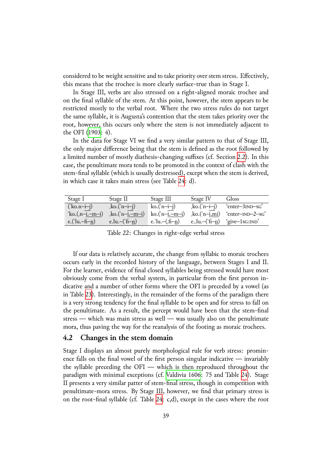considered to be weight sensitive and to take priority over stem stress. Effectively, this means that the trochee is more clearly surface-true than in Stage I.

In Stage III, verbs are also stressed on a right-aligned moraic trochee and on the final syllable of the stem. At this point, however, the stem appears to be restricted mostly to the verbal root. Where the two stress rules do not target the same syllable, it is Augusta's contention that the stem takes priority over the root, however, this occurs only where the stem is not immediately adjacent to the OFI (1903: 4).

In the data for Stage VI we find a very similar pattern to that of Stage III, the only major difference being that the stem is defined as the root followed by a limited [numb](#page-46-0)er of mostly diathesis-changing suffixes (cf. Section 2.2). In this case, the penultimate mora tends to be promoted in the context of clash with the stem-final syllable (which is usually destressed), except when the stem is derived, in which case it takes main stress (see Table 24: d).

| Stage I            | Stage II         | Stage III               | Stage IV                  | Gloss                        |
|--------------------|------------------|-------------------------|---------------------------|------------------------------|
| $('ko.n-i-j)$      | $ko.(n-i-j)$     | ko.( $n-i-j$ )          | $ko.(n-i-j)$              | 'enter-3 <sub>IND</sub> -sG' |
| $ko.(n-i-m-i)$     | $ko.(n-i-m-i)$   | $ko.(n-i.-m-i)$         | $ko.(n-i.mi)$             | 'enter-IND-2-sG'             |
| e.('lu. $-f_1$ -n) | e.lu. $-($ fi-n) | e.'lu. $-(\text{fi}-n)$ | e., lu. – $(\text{fi}-n)$ | 'give-1sG:IND'               |

<span id="page-38-0"></span>Table 22: Changes in right-edge verbal stress

If our data is relatively accurate, the change from syllabic to moraic trochees occurs early in the recorded history of the language, between Stages I and II. For the learner, evidence of final closed syllables being stressed would have most obviously come from the verbal system, in particular from the first person indicative and a number of other forms where the OFI is preceded by a vowel (as in Table 23). Interestingly, in the remainder of the forms of the paradigm there is a very strong tendency for the final syllable to be open and for stress to fall on the penultimate. As a result, the percept would have been that the stem-final stress [— w](#page-39-0)hich was main stress as well — was usually also on the penultimate mora, thus paving the way for the reanalysis of the footing as moraic trochees.

## **4.2 Changes in the stem domain**

Stage I displays an almost purely morphological rule for verb stress: prominence falls on the final vowel of the first person singular indicative — invariably the syllable preceding the OFI — which is then reproduced throughout the paradigm with minimal exceptions (cf. Valdivia 1606: 75 and Table 24). Stage II presents a very similar patter of stem-final stress, though in competition with penultimate-mora stress. By Stage III, however, we find that primary stress is on the root-final syllable (cf. Table 24: [c,d\), except in](#page-51-2) the cases whe[re t](#page-39-1)he root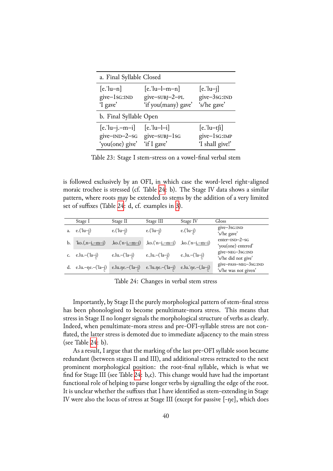| a. Final Syllable Closed |                     |                              |  |  |
|--------------------------|---------------------|------------------------------|--|--|
| $[e.]u-n]$               | $[e.]$ u-l-m-n]     | $[e.]\mathbf{u}-\mathbf{j}]$ |  |  |
| give-1sG:IND             | give-subj-2-PL      | give-3sG:IND                 |  |  |
| 'I gave'                 | 'if you(many) gave' | 's/he gave'                  |  |  |
| b. Final Syllable Open   |                     |                              |  |  |
| $[e$ .'lu-j.-m-i]        | $[e$ .'lu-l-i]      | $[e.]u-t[i]$                 |  |  |
| give-IND-2-sG            | give-subj-1sG       | give-1sG:IMP                 |  |  |
| 'you(one) give'          | 'if I gave'         | 'I shall give!'              |  |  |

<span id="page-39-0"></span>Table 23: Stage I stem-stress on a vowel-final verbal stem

is followed exclusively by an OFI, in which case the word-level right-aligned moraic trochee is stressed (cf. Table 24: b). The Stage IV data shows a similar pattern, where roots may be extended to stems by the addition of a very limited set of suffixes (Table 24: d, cf. examples in 3).

|    | Stage I                                | Stage II                   | Stage III            | Stage IV                   | Gloss                                         |
|----|----------------------------------------|----------------------------|----------------------|----------------------------|-----------------------------------------------|
|    | $e.('lu-j)$                            | $e.('lu-j)$                | $e.('lu-j)$          | $e.('lu-j)$                | give-3sG:IND<br>'s/he gave'                   |
| b. | $ko.(n-i-m-i)$                         | $k$ o.('n- <u>i.-m-i</u> ) | $ko.(n-i-m-i)$       | $k$ o.('n- <u>i.-m-i</u> ) | $enter–IND-2–SG$<br>'you(one) entered'        |
|    | c. $e.lu.-(l-a-j)$                     | e.lu. $-(\text{la}-j)$     | $e$ ., lu. – ('la–j) | e., lu. $-(\text{la}-j)$   | give-NEG-3sG:IND<br>'s/he did not give'       |
|    | d. e.lu. $-\eta$ e. $-(\alpha - \eta)$ | $e.lu.ne-('la-j)$          | e.'lu.ne.-('la-j)    | e.lu.'ne.–(,la–j)          | give-PASS-NEG-3sG:IND<br>'s/he was not given' |

<span id="page-39-1"></span>Table 24: Changes in verbal stem stress

Importantly, by Stage II the purely morphological pattern of stem-final stress has been phonologised to become penultimate-mora stress. This means that stress in Stage II no longer signals the morphological structure of verbs as clearly. Indeed, when penultimate-mora stress and pre-OFI-syllable stress are not conflated, the latter stress is demoted due to immediate adjacency to the main stress (see Table 24: b).

As a result, I argue that the marking of the last pre-OFI syllable soon became redundant (between stages II and III), and additional stress retracted to the next prominent [m](#page-39-1)orphological position: the root-final syllable, which is what we find for Stage III (see Table 24: b,c). This change would have had the important functional role of helping to parse longer verbs by signalling the edge of the root. It is unclear whether the suffixes that I have identified as stem-extending in Stage IV were also the locus of st[ress](#page-39-1) at Stage III (except for passive [-ŋe], which does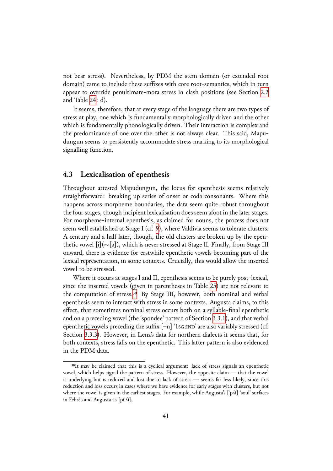not bear stress). Nevertheless, by PDM the stem domain (or extended-root domain) came to include these suffixes with core root-semantics, which in turn appear to override penultimate-mora stress in clash positions (see Section 2.2) and Table 24: d).

It seems, therefore, that at every stage of the language there are two types of stress at play, one which is fundamentally morphologically driven and the ot[her](#page-6-0) which is f[und](#page-39-1)amentally phonologically driven. Their interaction is complex and the predominance of one over the other is not always clear. This said, Mapudungun seems to persistently accommodate stress marking to its morphological signalling function.

## **4.3 Lexicalisation of epenthesis**

<span id="page-40-0"></span>Throughout attested Mapudungun, the locus for epenthesis seems relatively straightforward: breaking up series of onset or coda consonants. Where this happens across morpheme boundaries, the data seem quite robust throughout the four stages, though incipient lexicalisation does seem afoot in the later stages. For morpheme-internal epenthesis, as claimed for nouns, the process does not seem well established at Stage I (cf. 9), where Valdivia seems to tolerate clusters. A century and a half later, though, the old clusters are broken up by the epenthetic vowel [ɨ](∼[ə]), which is never stressed at Stage II. Finally, from Stage III onward, there is evidence for erstw[hi](#page-16-0)le epenthetic vowels becoming part of the lexical representation, in some contexts. Crucially, this would allow the inserted vowel to be stressed.

Where it occurs at stages I and II, epenthesis seems to be purely post-lexical, since the inserted vowels (given in parentheses in Table 25) are not relevant to the computation of stress.<sup>30</sup> By Stage III, however, both nominal and verbal epenthesis seem to interact with stress in some contexts. Augusta claims, to this effect, that sometimes nominal stress occurs both on a s[ylla](#page-41-1)ble-final epenthetic and on a preceding vowel ([the](#page-40-1) 'spondee' pattern of Section 3.3.1), and that verbal epenthetic vowels preceding the suffix  $[-n]$  '1sG:IND' are also variably stressed (cf. Section 3.3.3). However, in Lenz's data for northern dialects it seems that, for both contexts, stress falls on the epenthetic. This latter pa[ttern](#page-27-0) is also evidenced in the PDM data.

<span id="page-40-1"></span><sup>&</sup>lt;sup>30</sup>It [may be](#page-30-2) claimed that this is a cyclical argument: lack of stress signals an epenthetic vowel, which helps signal the pattern of stress. However, the opposite claim — that the vowel is underlying but is reduced and lost due to lack of stress — seems far less likely, since this reduction and loss occurs in cases where we have evidence for early stages with clusters, but not where the vowel is given in the earliest stages. For example, while Augusta's ['pʎi] 'soul' surfaces in Febrés and Augusta as [pɨˈʎi],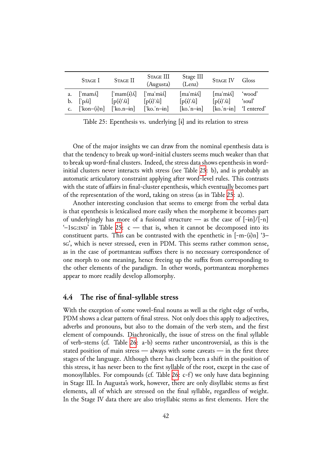|    | Stage I                                                      | STAGE II                              | STAGE III<br>(Augusta)          | Stage III<br>(Lenz)             | STAGE IV                      | Gloss                     |
|----|--------------------------------------------------------------|---------------------------------------|---------------------------------|---------------------------------|-------------------------------|---------------------------|
| a. | $\lceil \mathsf{mam}\Lambda \rceil$                          | $\lceil \text{mam}(i) \Lambda \rceil$ | $\lceil \text{ma'mi}\rceil$     | $[ma'mi\Lambda]$                | $\lceil \text{ma'mi}\ \rceil$ | 'wood'                    |
|    | $\mathbf{b}$ . $\lceil \mathbf{p} \Lambda \mathbf{i} \rceil$ | $\lceil p(i)' \hat{\Lambda} i \rceil$ | $\lceil p(i)' \Lambda i \rceil$ | $\lceil p(i)' \Lambda i \rceil$ | $[p(i)'\Lambda i]$            | 'soul'                    |
|    | $\lceil \text{kon}-(i)n \rceil$                              | $\lceil$ ko.n-in]                     | $\lceil$ 'ko.'n-in]             | $[ko, n-in]$                    |                               | $[ko, 'n-in]$ 'I entered' |

<span id="page-41-1"></span>Table 25: Epenthesis vs. underlying [ɨ] and its relation to stress

One of the major insights we can draw from the nominal epenthesis data is that the tendency to break up word-initial clusters seems much weaker than that to break up word-final clusters. Indeed, the stress data shows epenthesis in wordinitial clusters never interacts with stress (see Table 25: b), and is probably an automatic articulatory constraint applying after word-level rules. This contrasts with the state of affairs in final-cluster epenthesis, which eventually becomes part of the representation of the word, taking on stress ([as i](#page-41-1)n Table 25: a).

Another interesting conclusion that seems to emerge from the verbal data is that epenthesis is lexicalised more easily when the morpheme it becomes part of underlyingly has more of a fusional structure — as the c[ase](#page-41-1) of  $[-in]/[-n]$  $-1$ s $\sigma$ :IND' in Table 25:  $\sigma$  — that is, when it cannot be decomposed into its constituent parts. This can be contrasted with the epenthetic in  $[-m-(i)n]$  '3– sg', which is never stressed, even in PDM. This seems rather common sense, as in the case of po[rtm](#page-41-1)anteau suffixes there is no necessary correspondence of one morph to one meaning, hence freeing up the suffix from corresponding to the other elements of the paradigm. In other words, portmanteau morphemes appear to more readily develop allomorphy.

### **4.4 The rise of final-syllable stress**

<span id="page-41-0"></span>With the exception of some vowel-final nouns as well as the right edge of verbs, PDM shows a clear pattern of final stress. Not only does this apply to adjectives, adverbs and pronouns, but also to the domain of the verb stem, and the first element of compounds. Diachronically, the issue of stress on the final syllable of verb-stems (cf. Table 26: a-b) seems rather uncontroversial, as this is the stated position of main stress — always with some caveats — in the first three stages of the language. Although there has clearly been a shift in the position of this stress, it has never be[en](#page-42-0) to the first syllable of the root, except in the case of monosyllables. For compounds (cf. Table 26: c-f) we only have data beginning in Stage III. In Augusta's work, however, there are only disyllabic stems as first elements, all of which are stressed on the final syllable, regardless of weight. In the Stage IV data there are also trisyll[abic](#page-42-0) stems as first elements. Here the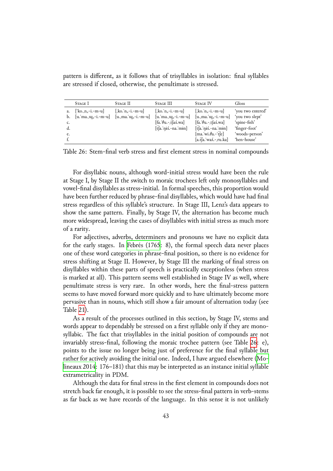pattern is different, as it follows that of trisyllables in isolation: final syllables are stressed if closed, otherwise, the penultimate is stressed.

|                      | STAGE I                                                      | STAGE II                                        | STAGE III                                                                                                      | <b>STAGE IV</b>                                                                                                                                                                     | Gloss                                                                                                  |
|----------------------|--------------------------------------------------------------|-------------------------------------------------|----------------------------------------------------------------------------------------------------------------|-------------------------------------------------------------------------------------------------------------------------------------------------------------------------------------|--------------------------------------------------------------------------------------------------------|
| a.<br>b.<br>d.<br>e. | $\lceil$ ko.n <sub>s</sub> -i.-m-u<br>[u.'ma. $m_s$ -i.-m-u] | [,ko. $n_s$ -i.-m-u]<br>$[u, ma, 'u, -i, -m-u]$ | [ko. n. -i. - m - u]<br>$[u, ma, us-i,-m-u]$<br>$[fa. \theta u - t[aA.wa]$<br>$[t(a, 'n i\Lambda - na, 'min])$ | [,ko.'n,-i.-m-u]<br>$[u, ma, u_s-i,-m-u]$<br>$[fa. \theta u.-t[a\Lambda.wa]$<br>$[\hat{t}]$ a. nis. - na. min]<br>$[ma.$ wi. $\theta$ a.- t $[e]$<br>$[a.fa.$ wa $\Lambda$ - ru.ka] | 'you two entered'<br>'you two slept'<br>'spine-fish'<br>'finger-foot'<br>'woods-person'<br>'hen-house' |

Table 26: Stem-final verb stress and first element stress in nominal compounds

<span id="page-42-0"></span>For disyllabic nouns, although word-initial stress would have been the rule at Stage I, by Stage II the switch to moraic trochees left only monosyllables and vowel-final disyllables as stress-initial. In formal speeches, this proportion would have been further reduced by phrase-final disyllables, which would have had final stress regardless of this syllable's structure. In Stage III, Lenz's data appears to show the same pattern. Finally, by Stage IV, the alternation has become much more widespread, leaving the cases of disyllables with initial stress as much more of a rarity.

For adjectives, adverbs, determiners and pronouns we have no explicit data for the early stages. In Febrés (1765: 8), the formal speech data never places one of these word categories in phrase-final position, so there is no evidence for stress shifting at Stage II. However, by Stage III the marking of final stress on disyllables within these [parts of speec](#page-47-9)h is practically exceptionless (when stress is marked at all). This pattern seems well established in Stage IV as well, where penultimate stress is very rare. In other words, here the final-stress pattern seems to have moved forward more quickly and to have ultimately become more pervasive than in nouns, which still show a fair amount of alternation today (see Table 21).

As a result of the processes outlined in this section, by Stage IV, stems and words appear to dependably be stressed on a first syllable only if they are monosyllab[ic.](#page-37-1) The fact that trisyllables in the initial position of compounds are not invariably stress-final, following the moraic trochee pattern (see Table 26: e), points to the issue no longer being just of preference for the final syllable but rather for actively avoiding the initial one. Indeed, I have argued elsewhere (Molineaux 2014: 176–181) that this may be interpreted as an instance initial [syl](#page-42-0)lable extrametricality in PDM.

Although the data for final stress in the first element in compounds doe[s not](#page-49-5) [stretch back f](#page-49-5)ar enough, it is possible to see the stress-final pattern in verb-stems as far back as we have records of the language. In this sense it is not unlikely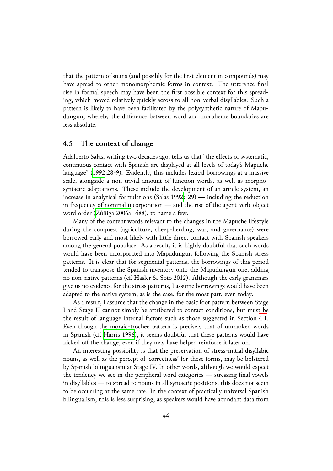that the pattern of stems (and possibly for the first element in compounds) may have spread to other monomorphemic forms in context. The utterance-final rise in formal speech may have been the first possible context for this spreading, which moved relatively quickly across to all non-verbal disyllables. Such a pattern is likely to have been facilitated by the polysynthetic nature of Mapudungun, whereby the difference between word and morpheme boundaries are less absolute.

## **4.5 The context of change**

Adalberto Salas, writing two decades ago, tells us that "the effects of systematic, continuous contact with Spanish are displayed at all levels of today's Mapuche language" (1992:28-9). Evidently, this includes lexical borrowings at a massive scale, alongside a non-trivial amount of function words, as well as morphosyntactic adaptations. These include the development of an article system, an increase in [analy](#page-50-4)tical formulations (Salas 1992: 29) — including the reduction in frequency of nominal incorporation — and the rise of the agent-verb-object word order (Zúñiga 2006a: 488), to name a few.

Many of the content words rele[vant to the](#page-50-4) changes in the Mapuche lifestyle during the conquest (agriculture, sheep-herding, war, and governance) were borrowed ea[rly and most l](#page-51-5)ikely with little direct contact with Spanish speakers among the general populace. As a result, it is highly doubtful that such words would have been incorporated into Mapudungun following the Spanish stress patterns. It is clear that for segmental patterns, the borrowings of this period tended to transpose the Spanish inventory onto the Mapudungun one, adding no non-native patterns (cf. Hasler & Soto 2012). Although the early grammars give us no evidence for the stress patterns, I assume borrowings would have been adapted to the native system, as is the case, for the most part, even today.

As a result, I assume th[at the change in the b](#page-48-12)asic foot pattern between Stage I and Stage II cannot simply be attributed to contact conditions, but must be the result of language internal factors such as those suggested in Section 4.1. Even though the moraic-trochee pattern is precisely that of unmarked words in Spanish (cf. Harris 1996), it seems doubtful that these patterns would have kicked off the change, even if they may have helped reinforce it later on.

An interesting possibility is that the preservation of stress-initial disyll[abic](#page-36-1) nouns, as well [as the percep](#page-48-13)t of 'correctness' for these forms, may be bolstered by Spanish bilingualism at Stage IV. In other words, although we would expect the tendency we see in the peripheral word categories — stressing final vowels in disyllables — to spread to nouns in all syntactic positions, this does not seem to be occurring at the same rate. In the context of practically universal Spanish bilingualism, this is less surprising, as speakers would have abundant data from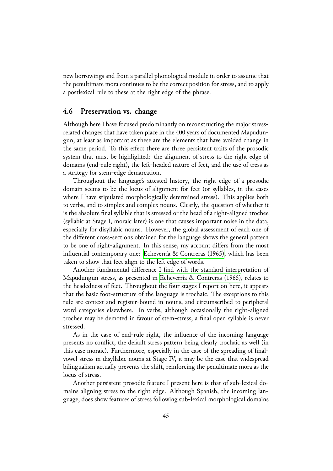new borrowings and from a parallel phonological module in order to assume that the penultimate mora continues to be the correct position for stress, and to apply a postlexical rule to these at the right edge of the phrase.

## **4.6 Preservation vs. change**

<span id="page-44-0"></span>Although here I have focused predominantly on reconstructing the major stressrelated changes that have taken place in the 400 years of documented Mapudungun, at least as important as these are the elements that have avoided change in the same period. To this effect there are three persistent traits of the prosodic system that must be highlighted: the alignment of stress to the right edge of domains (end-rule right), the left-headed nature of feet, and the use of tress as a strategy for stem-edge demarcation.

Throughout the language's attested history, the right edge of a prosodic domain seems to be the locus of alignment for feet (or syllables, in the cases where I have stipulated morphologically determined stress). This applies both to verbs, and to simplex and complex nouns. Clearly, the question of whether it is the absolute final syllable that is stressed or the head of a right-aligned trochee (syllabic at Stage I, moraic later) is one that causes important noise in the data, especially for disyllabic nouns. However, the global assessment of each one of the different cross-sections obtained for the language shows the general pattern to be one of right-alignment. In this sense, my account differs from the most influential contemporary one: Echeverría & Contreras  $(1965)$ , which has been taken to show that feet align to the left edge of words.

Another fundamental difference I find with the standard interpretation of Mapudungun stress, as presented in Echeverría & Contreras (1965), relates to the headedness of feet. Throughout the four stages I report on here, it appears that the basic foot-structure of the language is trochaic. The exceptions to this rule are context and register-boundi[n nouns, and circumscribed to](#page-47-1) peripheral word categories elsewhere. In verbs, although occasionally the right-aligned trochee may be demoted in favour of stem-stress, a final open syllable is never stressed.

As in the case of end-rule right, the influence of the incoming language presents no conflict, the default stress pattern being clearly trochaic as well (in this case moraic). Furthermore, especially in the case of the spreading of finalvowel stress in disyllabic nouns at Stage IV, it may be the case that widespread bilingualism actually prevents the shift, reinforcing the penultimate mora as the locus of stress.

Another persistent prosodic feature I present here is that of sub-lexical domains aligning stress to the right edge. Although Spanish, the incoming language, does show features of stress following sub-lexical morphological domains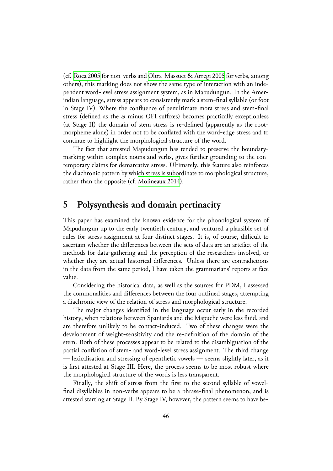(cf. Roca 2005 for non-verbs and Oltra-Massuet & Arregi 2005 for verbs, among others), this marking does not show the same type of interaction with an independent word-level stress assignment system, as in Mapudungun. In the Amerindi[an languag](#page-50-12)e, stress appears t[o consistently mark a stem-fina](#page-49-13)l syllable (or foot in Stage IV). Where the confluence of penultimate mora stress and stem-final stress (defined as the  $\omega$  minus OFI suffixes) becomes practically exceptionless (at Stage II) the domain of stem stress is re-defined (apparently as the rootmorpheme alone) in order not to be conflated with the word-edge stress and to continue to highlight the morphological structure of the word.

The fact that attested Mapudungun has tended to preserve the boundarymarking within complex nouns and verbs, gives further grounding to the contemporary claims for demarcative stress. Ultimately, this feature also reinforces the diachronic pattern by which stress is subordinate to morphological structure, rather than the opposite (cf. Molineaux 2014).

## **5 Polysynthesis a[nd domain p](#page-49-5)ertinacity**

This paper has examined the known evidence for the phonological system of Mapudungun up to the early twentieth century, and ventured a plausible set of rules for stress assignment at four distinct stages. It is, of course, difficult to ascertain whether the differences between the sets of data are an artefact of the methods for data-gathering and the perception of the researchers involved, or whether they are actual historical differences. Unless there are contradictions in the data from the same period, I have taken the grammarians' reports at face value.

Considering the historical data, as well as the sources for PDM, I assessed the commonalities and differences between the four outlined stages, attempting a diachronic view of the relation of stress and morphological structure.

The major changes identified in the language occur early in the recorded history, when relations between Spaniards and the Mapuche were less fluid, and are therefore unlikely to be contact-induced. Two of these changes were the development of weight-sensitivity and the re-definition of the domain of the stem. Both of these processes appear to be related to the disambiguation of the partial conflation of stem- and word-level stress assignment. The third change — lexicalisation and stressing of epenthetic vowels — seems slightly later, as it is first attested at Stage III. Here, the process seems to be most robust where the morphological structure of the words is less transparent.

Finally, the shift of stress from the first to the second syllable of vowelfinal disyllables in non-verbs appears to be a phrase-final phenomenon, and is attested starting at Stage II. By Stage IV, however, the pattern seems to have be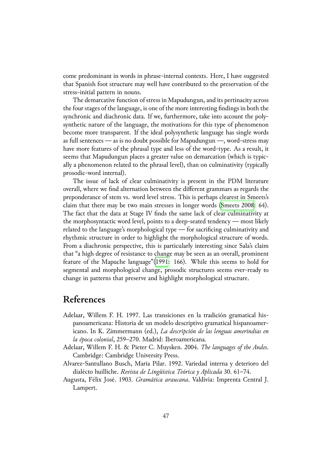come predominant in words in phrase-internal contexts. Here, I have suggested that Spanish foot structure may well have contributed to the preservation of the stress-initial pattern in nouns.

The demarcative function of stress in Mapudungun, and its pertinacity across the four stages of the language, is one of the more interesting findings in both the synchronic and diachronic data. If we, furthermore, take into account the polysynthetic nature of the language, the motivations for this type of phenomenon become more transparent. If the ideal polysynthetic language has single words as full sentences — as is no doubt possible for Mapudungun —, word-stress may have more features of the phrasal type and less of the word-type. As a result, it seems that Mapudungun places a greater value on demarcation (which is typically a phenomenon related to the phrasal level), than on culminativity (typically prosodic-word internal).

The issue of lack of clear culminativity is present in the PDM literature overall, where we find alternation between the different grammars as regards the preponderance of stem vs. word level stress. This is perhaps clearest in Smeets's claim that there may be two main stresses in longer words (Smeets 2008: 64). The fact that the data at Stage IV finds the same lack of clear culminativity at the morphosyntactic word level, points to a deep-seated tendency — most likely related to the language's morphological type — for sacrificin[g culminativit](#page-50-1)y and rhythmic structure in order to highlight the morphological structure of words. From a diachronic perspective, this is particularly interesting since Sala's claim that "a high degree of resistance to change may be seen as an overall, prominent feature of the Mapuche language"(1991: 166). While this seems to hold for segmental and morphological change, prosodic structures seems ever-ready to change in patterns that preserve and highlight morphological structure.

## **References**

- Adelaar, Willem F. H. 199⒎ Las transiciones en la tradición gramatical hispanoamericana: Historia de un modelo descriptivo gramatical hispanoamericano. In K. Zimmermann (ed.), *La descripción de las lenguas amerindias en la época colonial*, 259–270. Madrid: Iberoamericana.
- <span id="page-46-3"></span>Adelaar, Willem F. H. & Pieter C. Muysken. 2004. The languages of the Andes. Cambridge: Cambridge University Press.
- Alvarez-Santullano Busch, Maria Pilar. 199⒉ Variedad interna y deterioro del dialécto huilliche. *Revista de Lingüı ́stica Teórica y Aplicada* 30. 61–7⒋
- <span id="page-46-2"></span><span id="page-46-1"></span><span id="page-46-0"></span>Augusta, Félix José. 190⒊ *Gramática araucana*. Valdivia: Imprenta Central J. Lampert.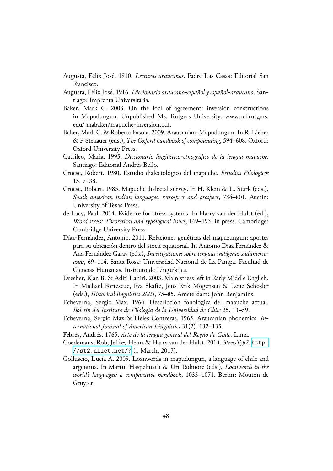- Augusta, Félix José. 19⒑ *Lecturas araucanas*. Padre Las Casas: Editorial San Francisco.
- Augusta, Félix José. 19⒗ *Diccionario araucano-español y español-araucano*. Santiago: Imprenta Universitaria.
- <span id="page-47-12"></span><span id="page-47-11"></span>Baker, Mark C. 200⒊ On the loci of agreement: inversion constructions in Mapudungun. Unpublished Ms. Rutgers University. www.rci.rutgers. edu/ mabaker/mapuche-inversion.pdf.
- Baker, Mark C. & Roberto Fasola. 200⒐ Araucanian: Mapudungun. In R. Lieber & P Stekauer (eds.), *The Oxford handbook of compounding*, 594–60⒏ Oxford: Oxford University Press.
- Catrileo, Maria. 1995. *Diccionario lingüístico-etnográfico de la lengua mapuche*. Santiago: Editorial Andrés Bello.
- Croese, Robert. 1980. Estudio dialectológico del mapuche. *Estudios Filológicos* ⒖ 7–3⒏
- <span id="page-47-6"></span><span id="page-47-4"></span>Croese, Robert. 198⒌ Mapuche dialectal survey. In H. Klein & L. Stark (eds.), *South american indian languages. retrospect and prospect*, 784–80⒈ Austin: University of Texas Press.
- <span id="page-47-7"></span>de Lacy, Paul. 20⒕ Evidence for stress systems. In Harry van der Hulst (ed.), *Word stress: Theoretical and typological issues*, 149–19⒊ in press. Cambridge: Cambridge University Press.
- <span id="page-47-2"></span>Díaz-Fernández, Antonio. 2011. Relaciones genéticas del mapuzungun: aportes para su ubicación dentro del stock equatorial. In Antonio Díaz Fernández & Ana Fernández Garay (eds.), *Investigaciones sobre lenguas indígenas sudamericanas*, 69–1⒕ Santa Rosa: Universidad Nacional de La Pampa. Facultad de Ciencias Humanas. Instituto de Lingüística.
- <span id="page-47-10"></span>Dresher, Elan B. & Aditi Lahiri. 2003. Main stress left in Early Middle English. In Michael Fortescue, Eva Skafte, Jens Erik Mogensen & Lene Schøsler (eds.), *Historical linguistics 2003*, 75–8⒌ Amsterdam: John Benjamins.
- <span id="page-47-5"></span>Echeverría, Sergio Max. 1964. Descripción fonológica del mapuche actual. *Boletín del Instituto de Filología de la Universidad de Chile* 25. 13–59.
- Echeverría, Sergio Max & Heles Contreras. 1965. Araucanian phonemics. *International Journal of American Linguistics* 31⑵. 132–13⒌
- <span id="page-47-3"></span>Febrés, Andrés. 176⒌ *Arte de la lengua general del Reyno de Chile*. Lima.
- <span id="page-47-1"></span>Goedemans, Rob, Jeffrey Heinz & Harry van der Hulst. 2014. *StressTyp2*. http: //st2.ullet.net/? (1 March, 2017).
- <span id="page-47-9"></span><span id="page-47-8"></span><span id="page-47-0"></span>Golluscio, Lucı́a A. 200⒐ Loanwords in mapudungun, a language of chile and argentina. In Martin Haspelmath & Uri Tadmore (eds.), *Loanword[s in the](http://st2.ullet.net/?) [world's languages: a com](http://st2.ullet.net/?)parative handbook*, 1035–107⒈ Berlin: Mouton de Gruyter.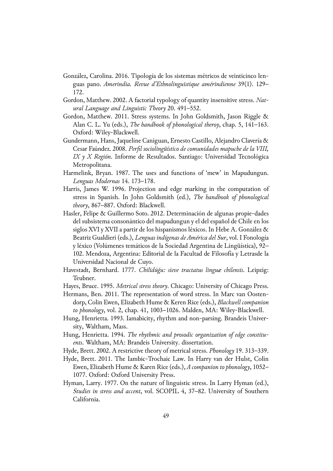- <span id="page-48-10"></span>González, Carolina. 2016. Tipología de los sistemas métricos de veinticinco lenguas pano. *Amerindia. Revue d'Ethnolinguistique amérindienne* 39⑴. 129– 17⒉
- <span id="page-48-4"></span>Gordon, Matthew. 200⒉ A factorial typology of quantity insensitive stress. *Natural Language and Linguistic Theory* ⒛ 491–55⒉
- <span id="page-48-5"></span>Gordon, Matthew. 2011. Stress systems. In John Goldsmith, Jason Riggle & Alan C. L. Yu (eds.), *The handbook of phonological theroy*, chap. 5, 141–16⒊ Oxford: Wiley-Blackwell.
- <span id="page-48-9"></span>Gundermann, Hans, Jaqueline Caniguan, Ernesto Castillo, Alejandro Clavería & Cesar Faúndez. 200⒏ *Perfil sociolingüı ́stico de comunidades mapuche de la VIII, IX y X Región*. Informe de Resultados. Santiago: Universidad Tecnológica Metropolitana.
- Harmelink, Bryan. 1987. The uses and functions of 'mew' in Mapudungun. *Lenguas Modernas* ⒕ 173–17⒏
- <span id="page-48-13"></span>Harris, James W. 1996. Projection and edge marking in the computation of stress in Spanish. In John Goldsmith (ed.), *The handbook of phonological theory*, 867–88⒎ Oxford: Blackwell.
- <span id="page-48-12"></span>Hasler, Felipe & Guillermo Soto. 2012. Determinación de algunas propie-dades del subsistema consonántico del mapudungun y el del español de Chile en los siglos XVI y XVII a partir de los hispanismos léxicos. In Hebe A. González & Beatriz Gualdieri (eds.), *Lenguas indígenas de América del Sur*, vol. I Fonología y léxico (Volúmenes temáticos de la Sociedad Argentina de Lingüı́stica), 92– 10⒉ Mendoza, Argentina: Editorial de la Facultad de Filosofı́a y Letrasde la Universidad Nacional de Cuyo.
- <span id="page-48-11"></span>Havestadt, Bernhard. 177⒎ *Chilidúǵu: sieve tractatus linguæ chilensis*. Leipzig: Teubner.
- <span id="page-48-3"></span>Hayes, Bruce. 1995. Metrical stress theory. Chicago: University of Chicago Press.
- <span id="page-48-8"></span>Hermans, Ben. 2011. The representation of word stress. In Marc van Oostendorp, Colin Ewen, Elizabeth Hume & Keren Rice (eds.), *Blackwell companion to phonology*, vol. 2, chap. 41, 1003–102⒍ Malden, MA: Wiley-Blackwell.
- <span id="page-48-1"></span>Hung, Henrietta. 1993. Iamabicity, rhythm and non-parsing. Brandeis University, Waltham, Mass.
- <span id="page-48-2"></span>Hung, Henrietta. 1994. The rhythmic and prosodic organization of edge constitu*ents*. Waltham, MA: Brandeis University. dissertation.
- <span id="page-48-6"></span>Hyde, Brett. 2002. A restrictive theory of metrical stress. *Phonology* 19. 313–339.
- <span id="page-48-7"></span>Hyde, Brett. 2011. The Iambic-Trochaic Law. In Harry van der Hulst, Colin Ewen, Elizabeth Hume & Karen Rice (eds.), *A companion to phonology*, 1052– 1077. Oxford: Oxford University Press.
- <span id="page-48-0"></span>Hyman, Larry. 1977. On the nature of linguistic stress. In Larry Hyman (ed.), *Studies in stress and accent*, vol. SCOPIL 4, 37–8⒉ University of Southern California.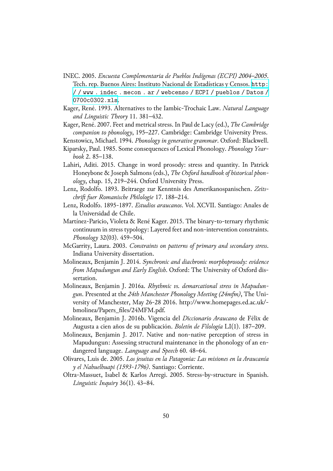- INEC. 2005. *Encuesta Complementaria de Pueblos Indígenas (ECPI) 2004–2005*. Tech. rep. Buenos Aires: Instituto Nacional de Estadı́sticas y Censos. http: / / www . indec . mecon . ar / webcenso / ECPI / pueblos / Datos / 0700c0302.xls.
- <span id="page-49-7"></span>Kager, René. 199⒊ Alternatives to the Iambic-Trochaic Law. *Natural L[anguage](http://www.indec.mecon.ar/webcenso/ECPI/pueblos/Datos/0700c0302.xls) and Linguistic Theory* 11. 381–432.
- Ka[ger, René. 200⒎ Feet and metrical stress. In Paul de Lacy \(ed.\),](http://www.indec.mecon.ar/webcenso/ECPI/pueblos/Datos/0700c0302.xls) *The Cambridge companion to phonology*, 195–22⒎ Cambridge: Cambridge University Press.
- <span id="page-49-0"></span>Kenstowicz, Michael. 199⒋ *Phonology in generative grammar*. Oxford: Blackwell.
- <span id="page-49-1"></span>Kiparsky, Paul. 198⒌ Some consequences of Lexical Phonology. *Phonology Yearbook* ⒉ 85–13⒏
- <span id="page-49-2"></span>Lahiri, Aditi. 2015. Change in word prosody: stress and quantity. In Patrick Honeybone & Joseph Salmons (eds.), *The Oxford handbook of historical phonology*, chap. 15, 219–24⒋ Oxford University Press.
- Lenz, Rodolfo. 189⒊ Beitraege zur Kenntnis des Amerikanospanischen. *Zeits*chrift fuer Romanische Philologie 17. 188–214.
- Lenz, Rodolfo. 1895-189⒎ *Estudios araucanos*. Vol. XCVII. Santiago: Anales de la Universidad de Chile.
- <span id="page-49-11"></span><span id="page-49-8"></span>Martínez-Paricio, Violeta & René Kager. 2015. The binary-to-ternary rhythmic continuum in stress typology: Layered feet and non-intervention constraints. *Phonology* 32(03). 459–50⒋
- <span id="page-49-4"></span>McGarrity, Laura. 200⒊ *Constraints on patterns of primary and secondary stress*. Indiana University dissertation.
- <span id="page-49-3"></span>Molineaux, Benjamin J. 20⒕ *Synchronic and diachronic morphoprosody: evidence om Mapudungun and Early English*. Oxford: The University of Oxford dissertation.
- <span id="page-49-5"></span>Molineaux, Benjamin J. 2016a. *Rhythmic vs. demarcational stress in Mapudungun*. Presented at the *24th Manchester Phonology Meeting (24mfm)*, The University of Manchester, May 26-28 20⒗ http://www.homepages.ed.ac.uk/ bmolinea/Papers\_files/24MFM.pdf.
- <span id="page-49-6"></span>Molineaux, Benjamin J. 2016b. Vigencia del *Diccionario Araucano* de Félix de Augusta a cien años de su publicación. *Boletín de Filología* LI(1). 187–209.
- <span id="page-49-12"></span>Molineaux, Benjamin J. 2017. Native and non-native perception of stress in Mapudungun: Assessing structural maintenance in the phonology of an endangered language. *Language and Speech* 60. 48–6⒋
- <span id="page-49-9"></span>Olivares, Luis de. 200⒌ *Los jesuitas en la Patagonia: Las misiones en la Araucanı ́a y el Nahuelhuapi (1593-1796)*. Santiago: Corriente.
- <span id="page-49-13"></span><span id="page-49-10"></span>Oltra-Massuet, Isabel & Karlos Arregi. 2005. Stress-by-structure in Spanish. *Linguistic Inquiry* 36⑴. 43–8⒋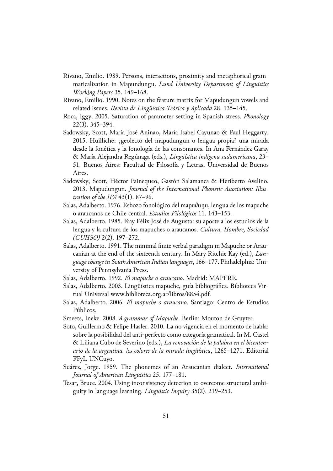- <span id="page-50-8"></span>Rivano, Emilio. 198⒐ Persons, interactions, proximity and metaphorical grammaticalization in Mapundungu. *Lund University Department of Linguistics Working Papers* 35. 149–168.
- Rivano, Emilio. 1990. Notes on the feature matrix for Mapudungun vowels and related issues. *Revista de Lingüı ́stica Teórica y Aplicada* 2⒏ 135–14⒌
- <span id="page-50-12"></span>Roca, Iggy. 200⒌ Saturation of parameter setting in Spanish stress. *Phonology*  $22(3)$ . 345–394.
- <span id="page-50-6"></span>Sadowsky, Scott, Marı́a José Aninao, Marı́a Isabel Cayunao & Paul Heggarty. 2015. Huilliche: ;geolecto del mapudungun o lengua propia? una mirada desde la fonética y la fonologı́a de las consonantes. In Ana Fernández Garay & Marı́a Alejandra Regúnaga (eds.), *Lingüı ́stica indı ́gena sudamericana*, 23– 5⒈ Buenos Aires: Facultad de Filosofı́a y Letras, Universidad de Buenos Aires.
- <span id="page-50-5"></span>Sadowsky, Scott, Héctor Painequeo, Gastón Salamanca & Heriberto Avelino. 20⒔ Mapudungun. *Journal of the International Phonetic Association: Illustration of the IPA* 43⑴. 87–9⒍
- <span id="page-50-3"></span>Salas, Adalberto. 1976. Esbozo fonológico del mapuθuηu, lengua de los mapuche o araucanos de Chile central. *Estudios Filológicos* 11. 143-153.
- <span id="page-50-11"></span>Salas, Adalberto. 1985. Fray Félix José de Augusta: su aporte a los estudios de la lengua y la cultura de los mapuches o araucanos. *Cultura, Hombre, Sociedad (CUHSO)* 2⑵. 197–27⒉
- <span id="page-50-9"></span>Salas, Adalberto. 1991. The minimal finite verbal paradigm in Mapuche or Araucanian at the end of the sixteenth century. In Mary Ritchie Kay (ed.), *Language change in South American Indian languages*, 166–17⒎ Philadelphia: University of Pennsylvania Press.
- <span id="page-50-4"></span>Salas, Adalberto. 199⒉ *El mapuche o araucano*. Madrid: MAPFRE.
- <span id="page-50-10"></span>Salas, Adalberto. 2003. Lingüística mapuche, guía bibliográfica. Biblioteca Virtual Universal www.biblioteca.org.ar/libros/8854.pdf.
- <span id="page-50-7"></span>Salas, Adalberto. 2006. *El mapuche o araucano*. Santiago: Centro de Estudios Públicos.
- <span id="page-50-1"></span>Smeets, Ineke. 200⒏ *A grammar of Mapuche*. Berlin: Mouton de Gruyter.
- <span id="page-50-2"></span>Soto, Guillermo & Felipe Hasler. 2010. La no vigencia en el momento de habla: sobre la posibilidad del anti-perfecto como categoría gramatical. In M. Castel & Liliana Cubo de Severino (eds.), *La renovación de la palabra en el bicentenario de la argentina. los colores de la mirada lingüı ́stica*, 1265–127⒈ Editorial FFyL UNCuyo.
- Suárez, Jorge. 195⒐ The phonemes of an Araucanian dialect. *International Journal of American Linguistics* 25. 177–181.
- <span id="page-50-0"></span>Tesar, Bruce. 2004. Using inconsistency detection to overcome structural ambiguity in language learning. *Linguistic Inquiry* 35⑵. 219–25⒊